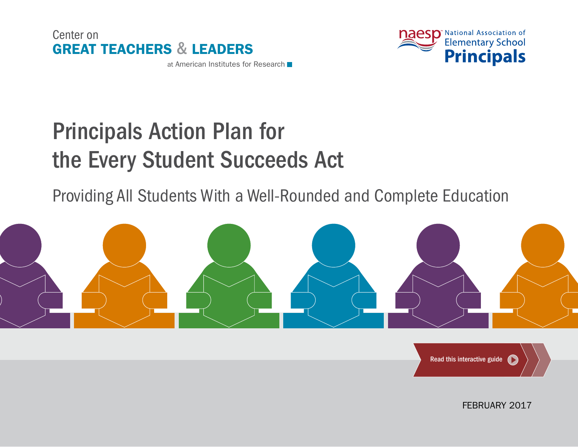



# Principals Action Plan for the Every Student Succeeds Act

Providing All Students With a Well-Rounded and Complete Education





FEBRUARY 2017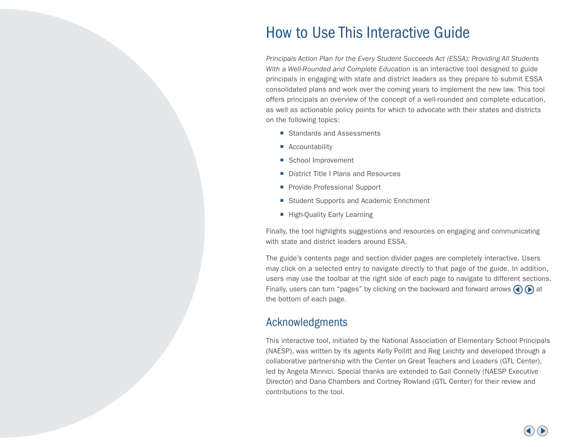# How to Use This Interactive Guide

*Principals Action Plan for the Every Student Succeeds Act (ESSA): Providing All Students With a Well-Rounded and Complete Education* is an interactive tool designed to guide principals in engaging with state and district leaders as they prepare to submit ESSA consolidated plans and work over the coming years to implement the new law. This tool offers principals an overview of the concept of a well-rounded and complete education, as well as actionable policy points for which to advocate with their states and districts on the following topics:

- Standards and Assessments
- Accountability
- School Improvement
- District Title I Plans and Resources
- **Provide Professional Support**
- Student Supports and Academic Enrichment
- **E** High-Quality Early Learning

Finally, the tool highlights suggestions and resources on engaging and communicating with state and district leaders around ESSA.

The guide's contents page and section divider pages are completely interactive. Users may click on a selected entry to navigate directly to that page of the guide. In addition, users may use the toolbar at the right side of each page to navigate to different sections. Finally, users can turn "pages" by clicking on the backward and forward arrows  $\bigodot$  at the bottom of each page.

### Acknowledgments

This interactive tool, initiated by the National Association of Elementary School Principals (NAESP), was written by its agents Kelly Pollitt and Reg Leichty and developed through a collaborative partnership with the Center on Great Teachers and Leaders (GTL Center), led by Angela Minnici. Special thanks are extended to Gail Connelly (NAESP Executive Director) and Dana Chambers and Cortney Rowland (GTL Center) for their review and contributions to the tool.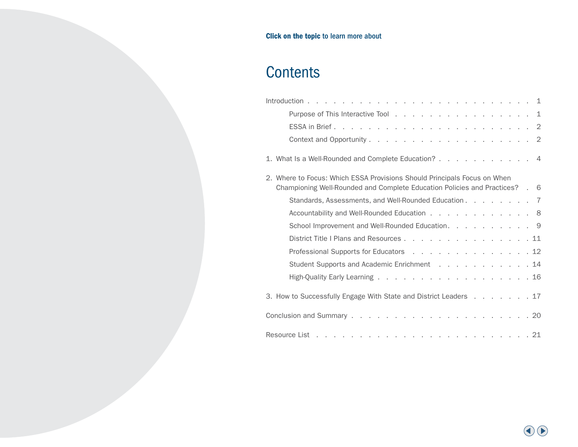# <span id="page-2-0"></span>**Contents**

| Purpose of This Interactive Tool 1                                          |  |  |  |  |
|-----------------------------------------------------------------------------|--|--|--|--|
|                                                                             |  |  |  |  |
|                                                                             |  |  |  |  |
| 1. What Is a Well-Rounded and Complete Education? 4                         |  |  |  |  |
| 2. Where to Focus: Which ESSA Provisions Should Principals Focus on When    |  |  |  |  |
| Championing Well-Rounded and Complete Education Policies and Practices? . 6 |  |  |  |  |
| Standards, Assessments, and Well-Rounded Education 7                        |  |  |  |  |
| Accountability and Well-Rounded Education 8                                 |  |  |  |  |
| School Improvement and Well-Rounded Education. 9                            |  |  |  |  |
| District Title I Plans and Resources 11                                     |  |  |  |  |
| Professional Supports for Educators 12                                      |  |  |  |  |
| Student Supports and Academic Enrichment 14                                 |  |  |  |  |
| High-Quality Early Learning 16                                              |  |  |  |  |
| 3. How to Successfully Engage With State and District Leaders 17            |  |  |  |  |
|                                                                             |  |  |  |  |
|                                                                             |  |  |  |  |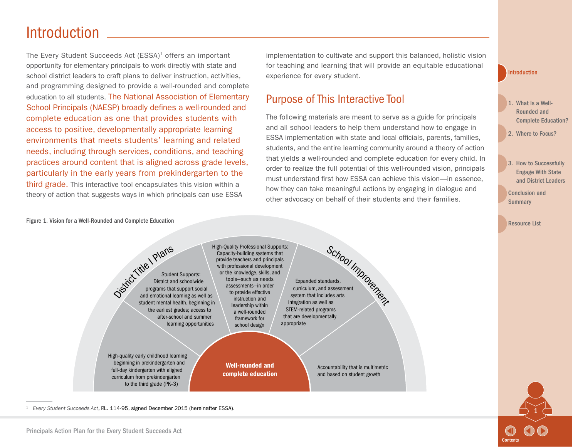# <span id="page-3-0"></span>Introduction

The Every Student Succeeds Act (ESSA)<sup>1</sup> offers an important opportunity for elementary principals to work directly with state and school district leaders to craft plans to deliver instruction, activities, and programming designed to provide a well-rounded and complete education to all students. The National Association of Elementary School Principals (NAESP) broadly defines a well-rounded and complete education as one that provides students with access to positive, developmentally appropriate learning environments that meets students' learning and related needs, including through services, conditions, and teaching practices around content that is aligned across grade levels, particularly in the early years from prekindergarten to the third grade. This interactive tool encapsulates this vision within a theory of action that suggests ways in which principals can use ESSA

implementation to cultivate and support this balanced, holistic vision for teaching and learning that will provide an equitable educational experience for every student.

# Purpose of This Interactive Tool

The following materials are meant to serve as a guide for principals and all school leaders to help them understand how to engage in ESSA implementation with state and local officials, parents, families, students, and the entire learning community around a theory of action that yields a well-rounded and complete education for every child. In order to realize the full potential of this well-rounded vision, principals must understand first how ESSA can achieve this vision—in essence, how they can take meaningful actions by engaging in dialogue and other advocacy on behalf of their students and their families.

Introduction

1. What Is a Well-Rounded and [Complete Education?](#page-6-0)

2. [Where to Focus?](#page-8-0)

3. How to Successfully Engage With State [and District Leaders](#page-19-0) 

1

**[Contents](#page-2-0)** 

[Conclusion and](#page-22-0)  **Summary** 

[Resource List](#page-23-0)

Figure 1. Vision for a Well-Rounded and Complete Education



<sup>1</sup> *Every Student Succeeds Act*, P.L. 114-95, signed December 2015 (hereinafter ESSA).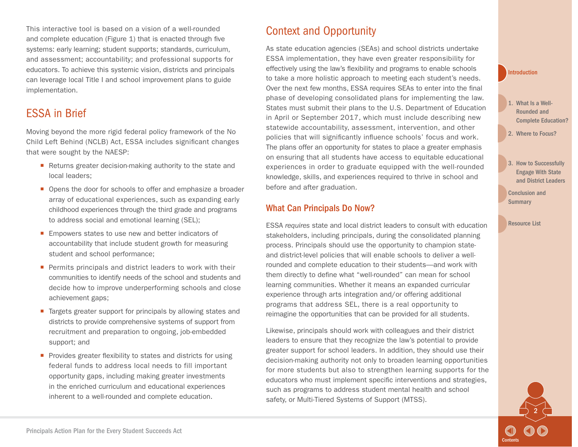<span id="page-4-0"></span>This interactive tool is based on a vision of a well-rounded and complete education (Figure 1) that is enacted through five systems: early learning; student supports; standards, curriculum, and assessment; accountability; and professional supports for educators. To achieve this systemic vision, districts and principals can leverage local Title I and school improvement plans to guide implementation.

# ESSA in Brief

Moving beyond the more rigid federal policy framework of the No Child Left Behind (NCLB) Act, ESSA includes significant changes that were sought by the NAESP:

- Returns greater decision-making authority to the state and local leaders;
- Opens the door for schools to offer and emphasize a broader array of educational experiences, such as expanding early childhood experiences through the third grade and programs to address social and emotional learning (SEL);
- Empowers states to use new and better indicators of accountability that include student growth for measuring student and school performance;
- **Permits principals and district leaders to work with their** communities to identify needs of the school and students and decide how to improve underperforming schools and close achievement gaps;
- Targets greater support for principals by allowing states and districts to provide comprehensive systems of support from recruitment and preparation to ongoing, job-embedded support; and
- **Provides greater flexibility to states and districts for using** federal funds to address local needs to fill important opportunity gaps, including making greater investments in the enriched curriculum and educational experiences inherent to a well-rounded and complete education.

# Context and Opportunity

As state education agencies (SEAs) and school districts undertake ESSA implementation, they have even greater responsibility for effectively using the law's flexibility and programs to enable schools to take a more holistic approach to meeting each student's needs. Over the next few months, ESSA requires SEAs to enter into the final phase of developing consolidated plans for implementing the law. States must submit their plans to the U.S. Department of Education in April or September 2017, which must include describing new statewide accountability, assessment, intervention, and other policies that will significantly influence schools' focus and work. The plans offer an opportunity for states to place a greater emphasis on ensuring that all students have access to equitable educational experiences in order to graduate equipped with the well-rounded knowledge, skills, and experiences required to thrive in school and before and after graduation.

### What Can Principals Do Now?

ESSA *requires* state and local district leaders to consult with education stakeholders, including principals, during the consolidated planning process. Principals should use the opportunity to champion stateand district-level policies that will enable schools to deliver a wellrounded and complete education to their students—and work with them directly to define what "well-rounded" can mean for school learning communities. Whether it means an expanded curricular experience through arts integration and/or offering additional programs that address SEL, there is a real opportunity to reimagine the opportunities that can be provided for all students.

Likewise, principals should work with colleagues and their district leaders to ensure that they recognize the law's potential to provide greater support for school leaders. In addition, they should use their decision-making authority not only to broaden learning opportunities for more students but also to strengthen learning supports for the educators who must implement specific interventions and strategies, such as programs to address student mental health and school safety, or Multi-Tiered Systems of Support (MTSS).

#### [Introduction](#page-3-0)

- 1. What Is a Well-Rounded and [Complete Education?](#page-6-0)
- 2. [Where to Focus?](#page-8-0)
- 3. How to Successfully Engage With State [and District Leaders](#page-19-0)

2

**[Contents](#page-2-0)** 

[Conclusion and](#page-22-0)  **Summary**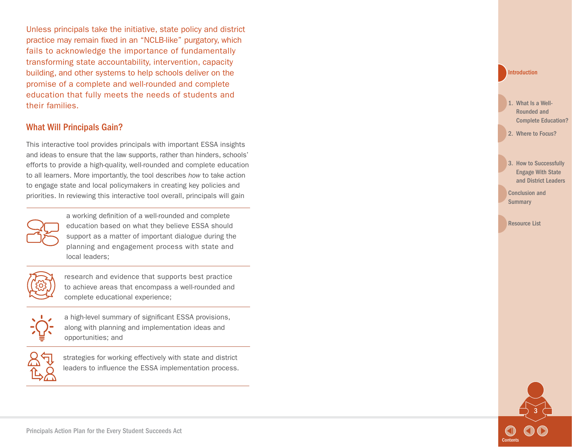Unless principals take the initiative, state policy and district practice may remain fixed in an "NCLB-like" purgatory, which fails to acknowledge the importance of fundamentally transforming state accountability, intervention, capacity building, and other systems to help schools deliver on the promise of a complete and well-rounded and complete education that fully meets the needs of students and their families.

#### What Will Principals Gain?

This interactive tool provides principals with important ESSA insights and ideas to ensure that the law supports, rather than hinders, schools' efforts to provide a high-quality, well-rounded and complete education to all learners. More importantly, the tool describes *how* to take action to engage state and local policymakers in creating key policies and priorities. In reviewing this interactive tool overall, principals will gain



a working definition of a well-rounded and complete education based on what they believe ESSA should support as a matter of important dialogue during the planning and engagement process with state and local leaders;



research and evidence that supports best practice to achieve areas that encompass a well-rounded and complete educational experience;



a high-level summary of significant ESSA provisions, along with planning and implementation ideas and opportunities; and



strategies for working effectively with state and district leaders to influence the ESSA implementation process.

#### [Introduction](#page-3-0)

- 1. What Is a Well-Rounded and [Complete Education?](#page-6-0)
- 2. [Where to Focus?](#page-8-0)
- 3. How to Successfully Engage With State [and District Leaders](#page-19-0)
- [Conclusion and](#page-22-0)  **Summary**

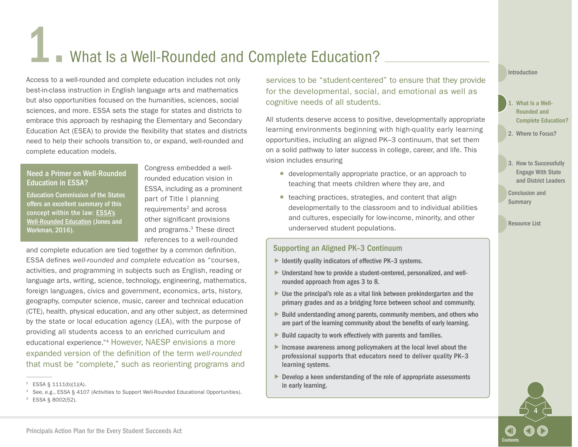# <span id="page-6-0"></span>What Is a Well-Rounded and Complete Education?

Access to a well-rounded and complete education includes not only best-in-class instruction in English language arts and mathematics but also opportunities focused on the humanities, sciences, social sciences, and more. ESSA sets the stage for states and districts to embrace this approach by reshaping the Elementary and Secondary Education Act (ESEA) to provide the flexibility that states and districts need to help their schools transition to, or expand, well-rounded and complete education models.

#### Need a Primer on Well-Rounded Education in ESSA?

Education Commission of the States offers an excellent summary of this concept within the law: [ESSA's](http://www.ecs.org/ec-content/uploads/ESSAs-Well-Rounded-Education-1.pdf) [Well-Rounded Education](http://www.ecs.org/ec-content/uploads/ESSAs-Well-Rounded-Education-1.pdf) (Jones and Workman, 2016).

Congress embedded a wellrounded education vision in ESSA, including as a prominent part of Title I planning  $requirements<sup>2</sup>$  and across other significant provisions and programs.3 These direct references to a well-rounded

and complete education are tied together by a common definition. ESSA defines *well-rounded and complete education* as "courses, activities, and programming in subjects such as English, reading or language arts, writing, science, technology, engineering, mathematics, foreign languages, civics and government, economics, arts, history, geography, computer science, music, career and technical education (CTE), health, physical education, and any other subject, as determined by the state or local education agency (LEA), with the purpose of providing all students access to an enriched curriculum and educational experience."4 However, NAESP envisions a more expanded version of the definition of the term *well-rounded* that must be "complete," such as reorienting programs and

<sup>3</sup> See, e.g., ESSA § 4107 (Activities to Support Well-Rounded Educational Opportunities).

services to be "student-centered" to ensure that they provide for the developmental, social, and emotional as well as cognitive needs of all students.

All students deserve access to positive, developmentally appropriate learning environments beginning with high-quality early learning opportunities, including an aligned PK–3 continuum, that set them on a solid pathway to later success in college, career, and life. This vision includes ensuring

- $\blacksquare$  developmentally appropriate practice, or an approach to teaching that meets children where they are, and
- $\blacksquare$  teaching practices, strategies, and content that align developmentally to the classroom and to individual abilities and cultures, especially for low-income, minority, and other underserved student populations.

#### Supporting an Aligned PK–3 Continuum

- $\blacktriangleright$  Identify quality indicators of effective PK-3 systems.
- ▶ Understand how to provide a student-centered, personalized, and wellrounded approach from ages 3 to 8.
- ▶ Use the principal's role as a vital link between prekindergarten and the primary grades and as a bridging force between school and community.
- $\blacktriangleright$  Build understanding among parents, community members, and others who are part of the learning community about the benefits of early learning.
- $\triangleright$  Build capacity to work effectively with parents and families.
- Increase awareness among policymakers at the local level about the professional supports that educators need to deliver quality PK–3 learning systems.
- $\blacktriangleright$  Develop a keen understanding of the role of appropriate assessments in early learning.

#### [Introduction](#page-3-0)

- 1. What Is a Well-Rounded and Complete Education?
- 2. [Where to Focus?](#page-8-0)
- 3. How to Successfully Engage With State [and District Leaders](#page-19-0)

[Conclusion and](#page-22-0)  **Summary** 



 $2$  ESSA § 1111(b)(1)(A).

<sup>4</sup> ESSA § 8002(52).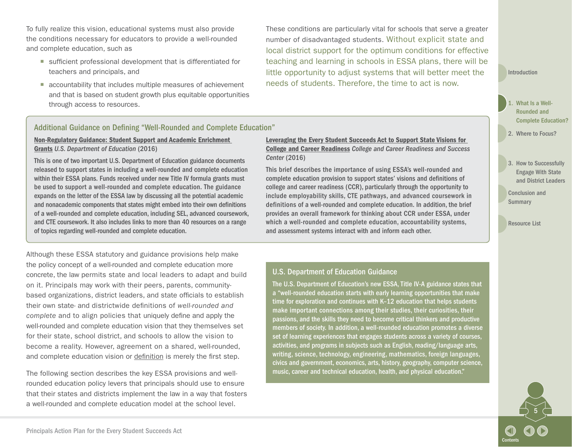To fully realize this vision, educational systems must also provide the conditions necessary for educators to provide a well-rounded and complete education, such as

- sufficient professional development that is differentiated for teachers and principals, and
- accountability that includes multiple measures of achievement and that is based on student growth plus equitable opportunities through access to resources.

These conditions are particularly vital for schools that serve a greater number of disadvantaged students. Without explicit state and local district support for the optimum conditions for effective teaching and learning in schools in ESSA plans, there will be little opportunity to adjust systems that will better meet the needs of students. Therefore, the time to act is now.

[Introduction](#page-3-0)

- What Is a Well-Rounded and [Complete Education?](#page-6-0)
- 2. [Where to Focus?](#page-8-0)
- 3. How to Successfully Engage With State [and District Leaders](#page-19-0)

5

**[Contents](#page-2-0)** 

[Conclusion and](#page-22-0)  **Summary** 

[Resource List](#page-23-0)

#### Additional Guidance on Defining "Well-Rounded and Complete Education"

#### [Non-Regulatory Guidance: Student Support and Academic Enrichment](https://www2.ed.gov/policy/elsec/leg/essa/essassaegrantguid10212016.pdf)  [Grants](https://www2.ed.gov/policy/elsec/leg/essa/essassaegrantguid10212016.pdf) *U.S. Department of Education* (2016)

This is one of two important U.S. Department of Education guidance documents released to support states in including a well-rounded and complete education within their ESSA plans. Funds received under new Title IV formula grants must be used to support a well-rounded and complete education. The guidance expands on the letter of the ESSA law by discussing all the potential academic and nonacademic components that states might embed into their own definitions of a well-rounded and complete education, including SEL, advanced coursework, and CTE coursework. It also includes links to more than 40 resources on a range of topics regarding well-rounded and complete education.

Although these ESSA statutory and guidance provisions help make the policy concept of a well-rounded and complete education more concrete, the law permits state and local leaders to adapt and build on it. Principals may work with their peers, parents, communitybased organizations, district leaders, and state officials to establish their own state- and districtwide definitions of *well-rounded and complete* and to align policies that uniquely define and apply the well-rounded and complete education vision that they themselves set for their state, school district, and schools to allow the vision to become a reality. However, agreement on a shared, well-rounded, and complete education vision or [definition](https://www.naesp.org/sites/default/files/Postscript_ND15.pdf) is merely the first step.

The following section describes the key ESSA provisions and wellrounded education policy levers that principals should use to ensure that their states and districts implement the law in a way that fosters a well-rounded and complete education model at the school level.

[Leveraging the Every Student Succeeds Act to Support State Visions for](http://www.ccrscenter.org/sites/default/files/AskCCRS_LeveragingESSA.pdf)  [College and Career Readiness](http://www.ccrscenter.org/sites/default/files/AskCCRS_LeveragingESSA.pdf) *College and Career Readiness and Success Center* (2016)

This brief describes the importance of using ESSA's well-rounded and complete education provision to support states' visions and definitions of college and career readiness (CCR), particularly through the opportunity to include employability skills, CTE pathways, and advanced coursework in definitions of a well-rounded and complete education. In addition, the brief provides an overall framework for thinking about CCR under ESSA, under which a well-rounded and complete education, accountability systems, and assessment systems interact with and inform each other.

#### U.S. Department of Education Guidance

The U.S. Department of Education's new ESSA, Title IV-A guidance states that a "well-rounded education starts with early learning opportunities that make time for exploration and continues with K–12 education that helps students make important connections among their studies, their curiosities, their passions, and the skills they need to become critical thinkers and productive members of society. In addition, a well-rounded education promotes a diverse set of learning experiences that engages students across a variety of courses, activities, and programs in subjects such as English, reading/language arts, writing, science, technology, engineering, mathematics, foreign languages, civics and government, economics, arts, history, geography, computer science, music, career and technical education, health, and physical education."

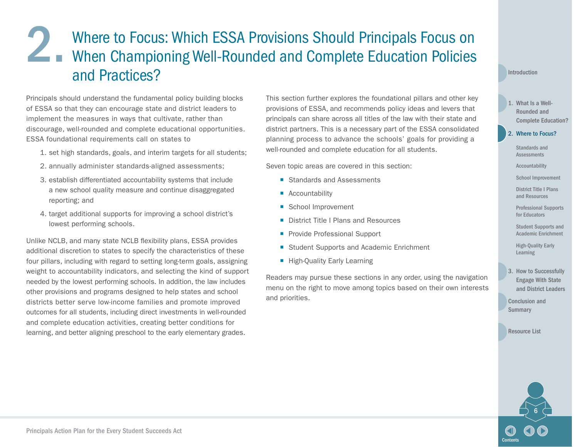# <span id="page-8-0"></span>2. Where to Focus: Which ESSA Provisions Should Principals Focus on<br>When Championing Well-Rounded and Complete Education Policies When Championing Well-Rounded and Complete Education Policies and Practices?

Principals should understand the fundamental policy building blocks of ESSA so that they can encourage state and district leaders to implement the measures in ways that cultivate, rather than discourage, well-rounded and complete educational opportunities. ESSA foundational requirements call on states to

- 1. set high standards, goals, and interim targets for all students;
- 2. annually administer standards-aligned assessments;
- 3. establish differentiated accountability systems that include a new school quality measure and continue disaggregated reporting; and
- 4. target additional supports for improving a school district's lowest performing schools.

Unlike NCLB, and many state NCLB flexibility plans, ESSA provides additional discretion to states to specify the characteristics of these four pillars, including with regard to setting long-term goals, assigning weight to accountability indicators, and selecting the kind of support needed by the lowest performing schools. In addition, the law includes other provisions and programs designed to help states and school districts better serve low-income families and promote improved outcomes for all students, including direct investments in well-rounded and complete education activities, creating better conditions for learning, and better aligning preschool to the early elementary grades.

This section further explores the foundational pillars and other key provisions of ESSA, and recommends policy ideas and levers that principals can share across all titles of the law with their state and district partners. This is a necessary part of the ESSA consolidated planning process to advance the schools' goals for providing a well-rounded and complete education for all students.

Seven topic areas are covered in this section:

- Standards and Assessments
- Accountability
- School Improvement
- District Title I Plans and Resources
- **Provide Professional Support**
- Student Supports and Academic Enrichment
- **High-Quality Early Learning**

Readers may pursue these sections in any order, using the navigation menu on the right to move among topics based on their own interests and priorities.

#### [Introduction](#page-3-0)

1. What Is a Well-Rounded and [Complete Education?](#page-6-0)

#### 2. Where to Focus?

[Standards and](#page-9-0)  Assessments

[Accountability](#page-10-0)

[School Improvement](#page-11-0)

[District Title I Plans](#page-13-0)  and Resources

[Professional Supports](#page-14-0)  for Educators

[Student Supports and](#page-16-0)  Academic Enrichment

[High-Quality Early](#page-18-0)  Learning

3. How to Successfully Engage With State [and District Leaders](#page-19-0) 

[Conclusion and](#page-22-0)  **Summary** 

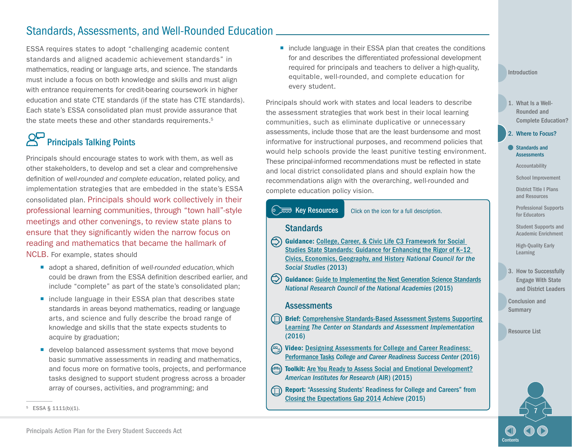# <span id="page-9-0"></span>Standards, Assessments, and Well-Rounded Education

ESSA requires states to adopt "challenging academic content standards and aligned academic achievement standards" in mathematics, reading or language arts, and science. The standards must include a focus on both knowledge and skills and must align with entrance requirements for credit-bearing coursework in higher education and state CTE standards (if the state has CTE standards). Each state's ESSA consolidated plan must provide assurance that the state meets these and other standards requirements.<sup>5</sup>

# Principals Talking Points

Principals should encourage states to work with them, as well as other stakeholders, to develop and set a clear and comprehensive definition of *well-rounded and complete education*, related policy, and implementation strategies that are embedded in the state's ESSA consolidated plan. Principals should work collectively in their professional learning communities, through "town hall"-style meetings and other convenings, to review state plans to ensure that they significantly widen the narrow focus on reading and mathematics that became the hallmark of NCLB. For example, states should

- adopt a shared, definition of *well-rounded education*, which could be drawn from the ESSA definition described earlier, and include "complete" as part of the state's consolidated plan;
- include language in their ESSA plan that describes state standards in areas beyond mathematics, reading or language arts, and science and fully describe the broad range of knowledge and skills that the state expects students to acquire by graduation;
- **E** develop balanced assessment systems that move beyond basic summative assessments in reading and mathematics, and focus more on formative tools, projects, and performance tasks designed to support student progress across a broader array of courses, activities, and programming; and

■ include language in their ESSA plan that creates the conditions for and describes the differentiated professional development required for principals and teachers to deliver a high-quality, equitable, well-rounded, and complete education for every student.

Principals should work with states and local leaders to describe the assessment strategies that work best in their local learning communities, such as eliminate duplicative or unnecessary assessments, include those that are the least burdensome and most informative for instructional purposes, and recommend policies that would help schools provide the least punitive testing environment. These principal-informed recommendations must be reflected in state and local district consolidated plans and should explain how the recommendations align with the overarching, well-rounded and complete education policy vision.



[Introduction](#page-3-0)

- 1. What Is a Well-Rounded and [Complete Education?](#page-6-0)
- 2. [Where to Focus?](#page-8-0)
- Standards and **Assessments**

[Accountability](#page-10-0)

[School Improvement](#page-11-0)

[District Title I Plans](#page-13-0)  and Resources

[Professional Supports](#page-14-0)  for Educators

[Student Supports and](#page-16-0)  Academic Enrichment

[High-Quality Early](#page-18-0)  Learning

3. How to Successfully Engage With State [and District Leaders](#page-19-0) 

[Conclusion and](#page-22-0)  **Summary** 

[Resource List](#page-23-0)

 $5$  ESSA § 1111(b)(1).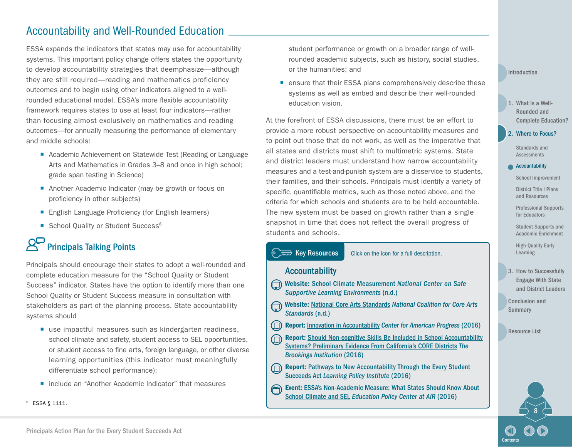### <span id="page-10-0"></span>Accountability and Well-Rounded Education

ESSA expands the indicators that states may use for accountability systems. This important policy change offers states the opportunity to develop accountability strategies that deemphasize—although they are still required—reading and mathematics proficiency outcomes and to begin using other indicators aligned to a wellrounded educational model. ESSA's more flexible accountability framework requires states to use at least four indicators—rather than focusing almost exclusively on mathematics and reading outcomes—for annually measuring the performance of elementary and middle schools:

- Academic Achievement on Statewide Test (Reading or Language Arts and Mathematics in Grades 3–8 and once in high school; grade span testing in Science)
- Another Academic Indicator (may be growth or focus on proficiency in other subjects)
- English Language Proficiency (for English learners)
- School Quality or Student Success<sup>6</sup>

# Principals Talking Points

Principals should encourage their states to adopt a well-rounded and complete education measure for the "School Quality or Student Success" indicator. States have the option to identify more than one School Quality or Student Success measure in consultation with stakeholders as part of the planning process. State accountability systems should

- use impactful measures such as kindergarten readiness, school climate and safety, student access to SEL opportunities, or student access to fine arts, foreign language, or other diverse learning opportunities (this indicator must meaningfully differentiate school performance);
- include an "Another Academic Indicator" that measures

student performance or growth on a broader range of wellrounded academic subjects, such as history, social studies, or the humanities; and

■ ensure that their ESSA plans comprehensively describe these systems as well as embed and describe their well-rounded education vision.

At the forefront of ESSA discussions, there must be an effort to provide a more robust perspective on accountability measures and to point out those that do not work, as well as the imperative that all states and districts must shift to multimetric systems. State and district leaders must understand how narrow accountability measures and a test-and-punish system are a disservice to students, their families, and their schools. Principals must identify a variety of specific, quantifiable metrics, such as those noted above, and the criteria for which schools and students are to be held accountable. The new system must be based on growth rather than a single snapshot in time that does not reflect the overall progress of students and schools.

Key Resources Click on the icon for a full description.

#### Accountability

- Website: [School Climate Measurement](https://safesupportivelearning.ed.gov/topic-research/school-climate-measurement) *National Center on Safe Supportive Learning Environments* (n.d.)
- Website: [National Core Arts Standards](http://nationalartsstandards.org/) *National Coalition for Core Arts*  ⊜ *Standards* (n.d.)
- $\circled{\!\!\!\perp}$ Report: [Innovation in Accountability](https://www.americanprogress.org/issues/education/reports/2016/12/08/294325/innovation-in-accountability/) *Center for American Progress* (2016)
- Report: [Should Non-cognitive Skills Be Included in School Accountability](https://www.brookings.edu/research/should-non-cognitive-skills-be-included-in-school-accountability-systems-preliminary-evidence-from-californias-core-districts/)  ⋒ [Systems? Preliminary Evidence From California's CORE Districts](https://www.brookings.edu/research/should-non-cognitive-skills-be-included-in-school-accountability-systems-preliminary-evidence-from-californias-core-districts/) *The Brookings Institution* (2016)
- Report: Pathways to New Accountability Through the Every Student  $\cup$ [Succeeds Act](https://learningpolicyinstitute.org/product/pathways-new-accountability-through-every-student-succeeds-act) *Learning Policy Institute* (2016)
- Event: [ESSA's Non-Academic Measure: What States Should Know About](http://www.air.org/event/essa-s-non-academic-measure-what-states-should-know-about-school-climate-and-sel)  [School Climate and SEL](http://www.air.org/event/essa-s-non-academic-measure-what-states-should-know-about-school-climate-and-sel) *Education Policy Center at AIR* (2016)

[Introduction](#page-3-0)

1. What Is a Well-Rounded and [Complete Education?](#page-6-0)

2. [Where to Focus?](#page-8-0)

[Standards and](#page-9-0)  **Assessments** 

#### Accountability

[School Improvement](#page-11-0)

[District Title I Plans](#page-13-0)  and Resources

[Professional Supports](#page-14-0)  for Educators

[Student Supports and](#page-16-0)  Academic Enrichment

[High-Quality Early](#page-18-0)  Learning

3. How to Successfully Engage With State [and District Leaders](#page-19-0) 

[Conclusion and](#page-22-0)  **Summary** 

[Resource List](#page-23-0)



<sup>6</sup> ESSA § 1111.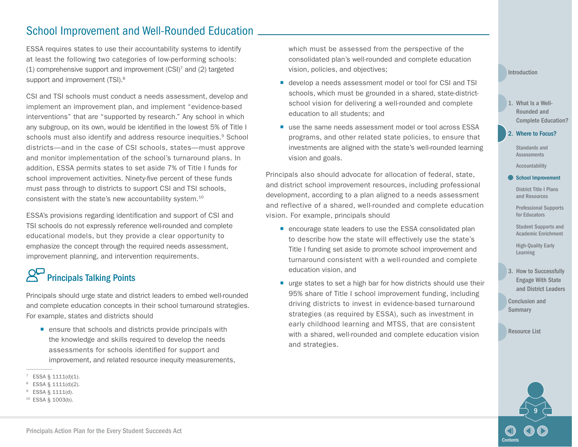# <span id="page-11-0"></span>School Improvement and Well-Rounded Education

ESSA requires states to use their accountability systems to identify at least the following two categories of low-performing schools: (1) comprehensive support and improvement (CSI)7 and (2) targeted support and improvement (TSI).<sup>8</sup>

CSI and TSI schools must conduct a needs assessment, develop and implement an improvement plan, and implement "evidence-based interventions" that are "supported by research." Any school in which any subgroup, on its own, would be identified in the lowest 5% of Title I schools must also identify and address resource inequities.<sup>9</sup> School districts—and in the case of CSI schools, states—must approve and monitor implementation of the school's turnaround plans. In addition, ESSA permits states to set aside 7% of Title I funds for school improvement activities. Ninety-five percent of these funds must pass through to districts to support CSI and TSI schools, consistent with the state's new accountability system.10

ESSA's provisions regarding identification and support of CSI and TSI schools do not expressly reference well-rounded and complete educational models, but they provide a clear opportunity to emphasize the concept through the required needs assessment, improvement planning, and intervention requirements.

# Principals Talking Points

Principals should urge state and district leaders to embed well-rounded and complete education concepts in their school turnaround strategies. For example, states and districts should

**E** ensure that schools and districts provide principals with the knowledge and skills required to develop the needs assessments for schools identified for support and improvement, and related resource inequity measurements, which must be assessed from the perspective of the consolidated plan's well-rounded and complete education vision, policies, and objectives;

- develop a needs assessment model or tool for CSI and TSI schools, which must be grounded in a shared, state-districtschool vision for delivering a well-rounded and complete education to all students; and
- use the same needs assessment model or tool across ESSA programs, and other related state policies, to ensure that investments are aligned with the state's well-rounded learning vision and goals.

Principals also should advocate for allocation of federal, state, and district school improvement resources, including professional development, according to a plan aligned to a needs assessment and reflective of a shared, well-rounded and complete education vision. For example, principals should

- encourage state leaders to use the ESSA consolidated plan to describe how the state will effectively use the state's Title I funding set aside to promote school improvement and turnaround consistent with a well-rounded and complete education vision, and
- urge states to set a high bar for how districts should use their 95% share of Title I school improvement funding, including driving districts to invest in evidence-based turnaround strategies (as required by ESSA), such as investment in early childhood learning and MTSS, that are consistent with a shared, well-rounded and complete education vision and strategies.

#### [Introduction](#page-3-0)

1. What Is a Well-Rounded and [Complete Education?](#page-6-0)

[Standards and](#page-9-0)  2. [Where to Focus?](#page-8-0)

> [Accountability](#page-10-0) Assessments

#### School Improvement

[District Title I Plans](#page-13-0)  and Resources

[Professional Supports](#page-14-0)  for Educators

[Student Supports and](#page-16-0)  Academic Enrichment

[High-Quality Early](#page-18-0)  Learning

3. How to Successfully Engage With State [and District Leaders](#page-19-0) 

[Conclusion and](#page-22-0)  **Summary** 



 $7$  ESSA § 1111(d)(1).

<sup>8</sup> ESSA § 1111(d)(2).

<sup>9</sup> ESSA § 1111(d).

<sup>10</sup> ESSA § 1003(b).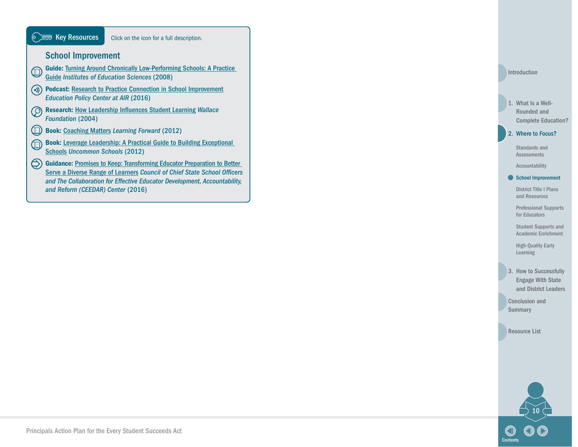

[Introduction](#page-3-0)

#### 1. What Is a Well-Rounded and [Complete Education?](#page-6-0)

#### 2. [Where to Focus?](#page-8-0)

[Standards and](#page-9-0)  Assessments

#### [Accountability](#page-10-0) [School Improvement](#page-11-0)

[District Title I Plans](#page-13-0)  and Resources

[Professional Supports](#page-14-0)  for Educators

[Student Supports and](#page-16-0)  Academic Enrichment

[High-Quality Early](#page-18-0)  Learning

3. How to Successfully Engage With State [and District Leaders](#page-19-0) 

[Conclusion and](#page-22-0)  Summary

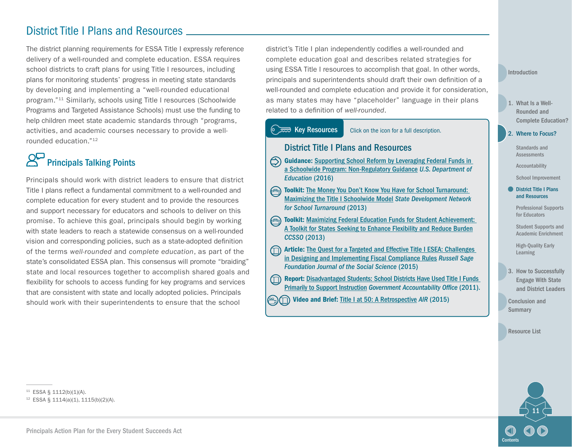### <span id="page-13-0"></span>District Title I Plans and Resources

The district planning requirements for ESSA Title I expressly reference delivery of a well-rounded and complete education. ESSA requires school districts to craft plans for using Title I resources, including plans for monitoring students' progress in meeting state standards by developing and implementing a "well-rounded educational program."11 Similarly, schools using Title I resources (Schoolwide Programs and Targeted Assistance Schools) must use the funding to help children meet state academic standards through "programs, activities, and academic courses necessary to provide a wellrounded education."12

# Principals Talking Points

Principals should work with district leaders to ensure that district Title I plans reflect a fundamental commitment to a well-rounded and complete education for every student and to provide the resources and support necessary for educators and schools to deliver on this promise. To achieve this goal, principals should begin by working with state leaders to reach a statewide consensus on a well-rounded vision and corresponding policies, such as a state-adopted definition of the terms *well-rounded* and *complete education*, as part of the state's consolidated ESSA plan. This consensus will promote "braiding" state and local resources together to accomplish shared goals and flexibility for schools to access funding for key programs and services that are consistent with state and locally adopted policies. Principals should work with their superintendents to ensure that the school

district's Title I plan independently codifies a well-rounded and complete education goal and describes related strategies for using ESSA Title I resources to accomplish that goal. In other words, principals and superintendents should draft their own definition of a well-rounded and complete education and provide it for consideration, as many states may have "placeholder" language in their plans related to a definition of *well-rounded*.



**Example 2015** Video and Brief: [Title I at 50: A Retrospective](http://www.air.org/resource/title-i-50-past-present-and-future) AIR (2015)

#### [Introduction](#page-3-0)

1. What Is a Well-Rounded and [Complete Education?](#page-6-0)

2. [Where to Focus?](#page-8-0)

[Standards and](#page-9-0)  Assessments

[Accountability](#page-10-0)

[School Improvement](#page-11-0)

**District Title I Plans** and Resources

> [Professional Supports](#page-14-0)  for Educators

> [Student Supports and](#page-16-0)  Academic Enrichment

[High-Quality Early](#page-18-0)  Learning

3. How to Successfully Engage With State [and District Leaders](#page-19-0) 

[Conclusion and](#page-22-0)  **Summary** 

[Resource List](#page-23-0)



<sup>11</sup> ESSA § 1112(b)(1)(A).

<sup>12</sup> ESSA § 1114(a)(1), 1115(b)(2)(A).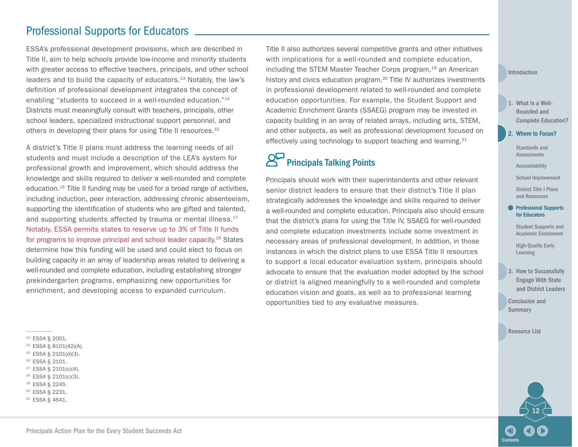### <span id="page-14-0"></span>Professional Supports for Educators

ESSA's professional development provisions, which are described in Title II, aim to help schools provide low-income and minority students with greater access to effective teachers, principals, and other school leaders and to build the capacity of educators.<sup>13</sup> Notably, the law's definition of professional development integrates the concept of enabling "students to succeed in a well-rounded education."14 Districts must meaningfully consult with teachers, principals, other school leaders, specialized instructional support personnel, and others in developing their plans for using Title II resources.<sup>15</sup>

A district's Title II plans must address the learning needs of all students and must include a description of the LEA's system for professional growth and improvement, which should address the knowledge and skills required to deliver a well-rounded and complete education.16 Title II funding may be used for a broad range of activities, including induction, peer interaction, addressing chronic absenteeism, supporting the identification of students who are gifted and talented, and supporting students affected by trauma or mental illness.<sup>17</sup> Notably, ESSA permits states to reserve up to 3% of Title II funds for programs to improve principal and school leader capacity.18 States determine how this funding will be used and could elect to focus on building capacity in an array of leadership areas related to delivering a well-rounded and complete education, including establishing stronger prekindergarten programs, emphasizing new opportunities for enrichment, and developing access to expanded curriculum.

<sup>13</sup> ESSA § 2001.

- <sup>14</sup> ESSA § 8101(42)(A).
- <sup>15</sup> ESSA § 2101(d)(3).
- <sup>16</sup> ESSA § 2101.
- <sup>17</sup> ESSA § 2101(c)(4).
- <sup>18</sup> ESSA § 2101(c)(3).
- <sup>19</sup> ESSA § 2245.
- <sup>20</sup> ESSA § 2231.
- <sup>21</sup> ESSA § 4641.

Title II also authorizes several competitive grants and other initiatives with implications for a well-rounded and complete education, including the STEM Master Teacher Corps program,<sup>19</sup> an American history and civics education program.<sup>20</sup> Title IV authorizes investments in professional development related to well-rounded and complete education opportunities. For example, the Student Support and Academic Enrichment Grants (SSAEG) program may be invested in capacity building in an array of related arrays, including arts, STEM, and other subjects, as well as professional development focused on effectively using technology to support teaching and learning.21

# Principals Talking Points

Principals should work with their superintendents and other relevant senior district leaders to ensure that their district's Title II plan strategically addresses the knowledge and skills required to deliver a well-rounded and complete education. Principals also should ensure that the district's plans for using the Title IV, SSAEG for well-rounded and complete education investments include some investment in necessary areas of professional development. In addition, in those instances in which the district plans to use ESSA Title II resources to support a local educator evaluation system, principals should advocate to ensure that the evaluation model adopted by the school or district is aligned meaningfully to a well-rounded and complete education vision and goals, as well as to professional learning opportunities tied to any evaluative measures.

#### [Introduction](#page-3-0)

- 1. What Is a Well-Rounded and [Complete Education?](#page-6-0)
- 2. [Where to Focus?](#page-8-0)

[Standards and](#page-9-0)  Assessments

[Accountability](#page-10-0)

[School Improvement](#page-11-0)

[District Title I Plans](#page-13-0)  and Resources

#### **Professional Supports** for Educators

[Student Supports and](#page-16-0)  Academic Enrichment

[High-Quality Early](#page-18-0)  Learning

3. How to Successfully Engage With State [and District Leaders](#page-19-0) 

[Conclusion and](#page-22-0)  **Summary** 

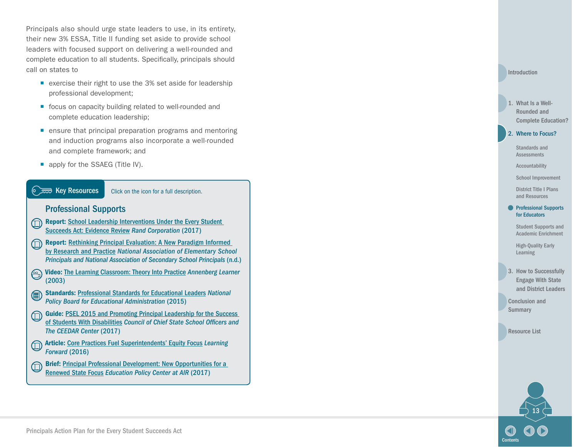Principals also should urge state leaders to use, in its entirety, their new 3% ESSA, Title II funding set aside to provide school leaders with focused support on delivering a well-rounded and complete education to all students. Specifically, principals should call on states to

- exercise their right to use the 3% set aside for leadership professional development;
- focus on capacity building related to well-rounded and complete education leadership;
- **E** ensure that principal preparation programs and mentoring and induction programs also incorporate a well-rounded and complete framework; and
- que apply for the SSAEG (Title IV).



- Report: [Rethinking Principal Evaluation: A New Paradigm Informed](http://www.naesp.org/sites/default/files/PrincipalEvaluationReport.pdf) [by Research and Practice](http://www.naesp.org/sites/default/files/PrincipalEvaluationReport.pdf) *National Association of Elementary School Principals and National Association of Secondary School Principals* (n.d.)
- Video: [The Learning Classroom: Theory Into Practice](http://www.learner.org/resources/series172.html) *Annenberg Learner*  $\textcircled{F}$ (2003)
- Standards: [Professional Standards for Educational Leaders](http://www.ccsso.org/Documents/2015/ProfessionalStandardsforEducationalLeaders2015forNPBEAFINAL.pdf) *National*  ∈ *Policy Board for Educational Administration* (2015)
- Guide: [PSEL 2015 and Promoting Principal Leadership for the Success](http://www.ccsso.org/Documents/2017/PSELforSWDs01252017.pdf)  ⋒ [of Students With Disabilities](http://www.ccsso.org/Documents/2017/PSELforSWDs01252017.pdf) *Council of Chief State School Officers and The CEEDAR Center* (2017)
- Article: [Core Practices Fuel Superintendents' Equity Focus](https://learningforward.org/docs/default-source/jsd-december-2016/core-practices-fuel-superintendents-equity-focus-december16.pdf) *Learning*  ⋒ *Forward* (2016)
- Brief: [Principal Professional Development: New Opportunities for a](http://educationpolicy.air.org/publications/principal-professional-development-new-opportunities-renewed-state-focus)   $\textcircled{\tiny{1}}$ [Renewed State Focus](http://educationpolicy.air.org/publications/principal-professional-development-new-opportunities-renewed-state-focus) *Education Policy Center at AIR* (2017)

#### [Introduction](#page-3-0)

#### 1. What Is a Well-Rounded and [Complete Education?](#page-6-0)

#### 2. [Where to Focus?](#page-8-0)

[Standards and](#page-9-0)  Assessments

[Accountability](#page-10-0)

[School Improvement](#page-11-0)

[District Title I Plans](#page-13-0)  and Resources

#### **Professional Supports** for Educators

[Student Supports and](#page-16-0)  Academic Enrichment

[High-Quality Early](#page-18-0)  Learning

3. How to Successfully Engage With State [and District Leaders](#page-19-0) 

[Conclusion and](#page-22-0)  **Summary** 

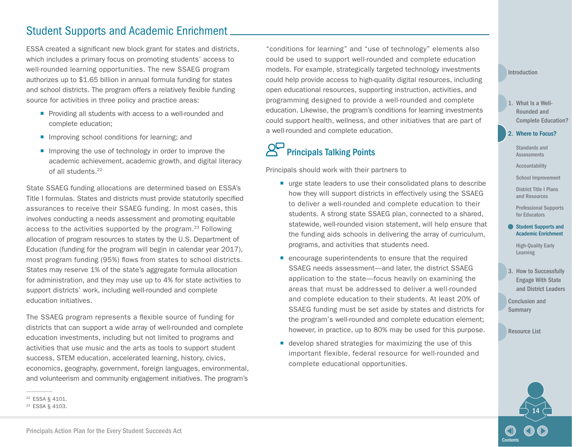### <span id="page-16-0"></span>Student Supports and Academic Enrichment

ESSA created a significant new block grant for states and districts, which includes a primary focus on promoting students' access to well-rounded learning opportunities. The new SSAEG program authorizes up to \$1.65 billion in annual formula funding for states and school districts. The program offers a relatively flexible funding source for activities in three policy and practice areas:

- **Providing all students with access to a well-rounded and** complete education;
- **If** Improving school conditions for learning; and
- **If** Improving the use of technology in order to improve the academic achievement, academic growth, and digital literacy of all students.22

State SSAEG funding allocations are determined based on ESSA's Title I formulas. States and districts must provide statutorily specified assurances to receive their SSAEG funding. In most cases, this involves conducting a needs assessment and promoting equitable access to the activities supported by the program.<sup>23</sup> Following allocation of program resources to states by the U.S. Department of Education (funding for the program will begin in calendar year 2017), most program funding (95%) flows from states to school districts. States may reserve 1% of the state's aggregate formula allocation for administration, and they may use up to 4% for state activities to support districts' work, including well-rounded and complete education initiatives.

The SSAEG program represents a flexible source of funding for districts that can support a wide array of well-rounded and complete education investments, including but not limited to programs and activities that use music and the arts as tools to support student success, STEM education, accelerated learning, history, civics, economics, geography, government, foreign languages, environmental, and volunteerism and community engagement initiatives. The program's

"conditions for learning" and "use of technology" elements also could be used to support well-rounded and complete education models. For example, strategically targeted technology investments could help provide access to high-quality digital resources, including open educational resources, supporting instruction, activities, and programming designed to provide a well-rounded and complete education. Likewise, the program's conditions for learning investments could support health, wellness, and other initiatives that are part of a well-rounded and complete education.

# **Principals Talking Points**

Principals should work with their partners to

- urge state leaders to use their consolidated plans to describe how they will support districts in effectively using the SSAEG to deliver a well-rounded and complete education to their students. A strong state SSAEG plan, connected to a shared, statewide, well-rounded vision statement, will help ensure that the funding aids schools in delivering the array of curriculum, programs, and activities that students need.
- encourage superintendents to ensure that the required SSAEG needs assessment—and later, the district SSAEG application to the state—focus heavily on examining the areas that must be addressed to deliver a well-rounded and complete education to their students. At least 20% of SSAEG funding must be set aside by states and districts for the program's well-rounded and complete education element; however, in practice, up to 80% may be used for this purpose.
- develop shared strategies for maximizing the use of this important flexible, federal resource for well-rounded and complete educational opportunities.

#### [Introduction](#page-3-0)

- 1. What Is a Well-Rounded and [Complete Education?](#page-6-0)
- 2. [Where to Focus?](#page-8-0)

[Standards and](#page-9-0)  Assessments

[Accountability](#page-10-0)

[School Improvement](#page-11-0)

[District Title I Plans](#page-13-0)  and Resources

[Professional Supports](#page-14-0)  for Educators

#### **Student Supports and** Academic Enrichment

[High-Quality Early](#page-18-0)  Learning

3. How to Successfully Engage With State [and District Leaders](#page-19-0) 

[Conclusion and](#page-22-0)  **Summary** 



<sup>22</sup> ESSA § 4101.

<sup>23</sup> ESSA § 4103.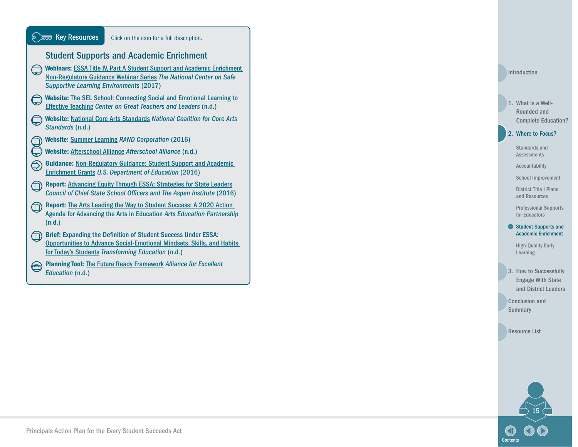| <b>■ Key Resources</b>                                                                                                                                                                                 | Click on the icon for a full description.                                                                                                                                                                    |  |
|--------------------------------------------------------------------------------------------------------------------------------------------------------------------------------------------------------|--------------------------------------------------------------------------------------------------------------------------------------------------------------------------------------------------------------|--|
| <b>Student Supports and Academic Enrichment</b>                                                                                                                                                        |                                                                                                                                                                                                              |  |
| <b>Webinars: ESSA Title IV, Part A Student Support and Academic Enrichment</b><br>Non-Regulatory Guidance Webinar Series The National Center on Safe<br><b>Supportive Learning Environments (2017)</b> |                                                                                                                                                                                                              |  |
| <b>Website: The SEL School: Connecting Social and Emotional Learning to</b><br><b>Effective Teaching Center on Great Teachers and Leaders (n.d.)</b>                                                   |                                                                                                                                                                                                              |  |
| <b>Website: National Core Arts Standards National Coalition for Core Arts</b><br>Standards (n.d.)                                                                                                      |                                                                                                                                                                                                              |  |
| <b>Website: Summer Learning RAND Corporation (2016)</b>                                                                                                                                                |                                                                                                                                                                                                              |  |
| Website: Afterschool Alliance Afterschool Alliance (n.d.)                                                                                                                                              |                                                                                                                                                                                                              |  |
| <b>Guidance: Non-Regulatory Guidance: Student Support and Academic</b><br><b>Enrichment Grants U.S. Department of Education (2016)</b>                                                                 |                                                                                                                                                                                                              |  |
| <b>Report: Advancing Equity Through ESSA: Strategies for State Leaders</b><br><b>Council of Chief State School Officers and The Aspen Institute (2016)</b>                                             |                                                                                                                                                                                                              |  |
| <b>Report: The Arts Leading the Way to Student Success: A 2020 Action</b><br><b>Agenda for Advancing the Arts in Education Arts Education Partnership</b><br>(n.d.)                                    |                                                                                                                                                                                                              |  |
|                                                                                                                                                                                                        | <b>Brief: Expanding the Definition of Student Success Under ESSA:</b><br><b>Opportunities to Advance Social-Emotional Mindsets, Skills, and Habits</b><br>for Today's Students Transforming Education (n.d.) |  |
| Education (n.d.)                                                                                                                                                                                       | <b>Planning Tool: The Future Ready Framework Alliance for Excellent</b>                                                                                                                                      |  |

[Introduction](#page-3-0)

#### 1. What Is a Well-Rounded and [Complete Education?](#page-6-0)

#### 2. [Where to Focus?](#page-8-0)

[Standards and](#page-9-0)  Assessments

[Accountability](#page-10-0)

[School Improvement](#page-11-0)

[District Title I Plans](#page-13-0)  and Resources

[Professional Supports](#page-14-0)  for Educators

#### ● Student Supports and Academic Enrichment

[High-Quality Early](#page-18-0)  Learning

3. How to Successfully Engage With State [and District Leaders](#page-19-0) 

[Conclusion and](#page-22-0)  Summary

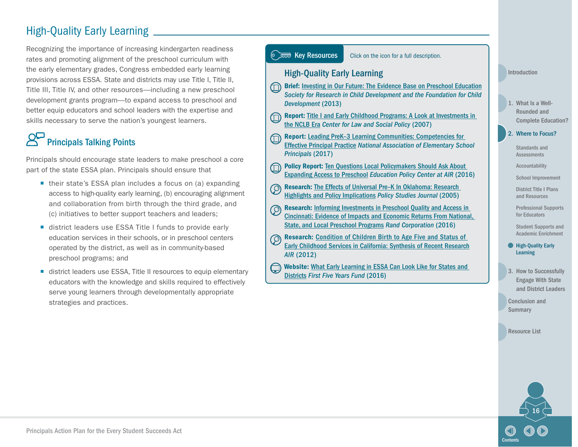# <span id="page-18-0"></span>High-Quality Early Learning

Recognizing the importance of increasing kindergarten readiness rates and promoting alignment of the preschool curriculum with the early elementary grades, Congress embedded early learning provisions across ESSA. State and districts may use Title I, Title II, Title III, Title IV, and other resources—including a new preschool development grants program—to expand access to preschool and better equip educators and school leaders with the expertise and skills necessary to serve the nation's youngest learners.

# Principals Talking Points

Principals should encourage state leaders to make preschool a core part of the state ESSA plan. Principals should ensure that

- their state's ESSA plan includes a focus on (a) expanding access to high-quality early learning, (b) encouraging alignment and collaboration from birth through the third grade, and (c) initiatives to better support teachers and leaders;
- district leaders use ESSA Title I funds to provide early education services in their schools, or in preschool centers operated by the district, as well as in community-based preschool programs; and
- district leaders use ESSA, Title II resources to equip elementary educators with the knowledge and skills required to effectively serve young learners through developmentally appropriate strategies and practices.



3. How to Successfully Engage With State [and District Leaders](#page-19-0) 

[Conclusion and](#page-22-0)  **Summary** 

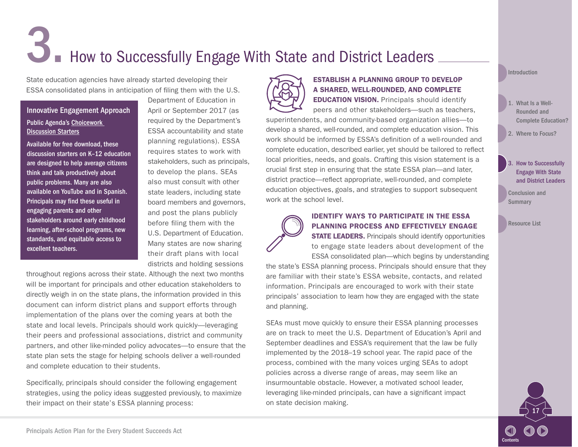# <span id="page-19-0"></span>**3. How to Successfully Engage With State and District Leaders**

State education agencies have already started developing their ESSA consolidated plans in anticipation of filing them with the U.S.

#### Innovative Engagement Approach Public Agenda's [Choicework](http://www.publicagenda.org/pages/choicework-homepage?qfilterissue=2)  **[Discussion Starters](http://www.publicagenda.org/pages/choicework-homepage?qfilterissue=2)**

Available for free download, these discussion starters on K–12 education are designed to help average citizens think and talk productively about public problems. Many are also available on YouTube and in Spanish. Principals may find these useful in engaging parents and other stakeholders around early childhood learning, after-school programs, new standards, and equitable access to excellent teachers.

Department of Education in April or September 2017 (as required by the Department's ESSA accountability and state planning regulations). ESSA requires states to work with stakeholders, such as principals, to develop the plans. SEAs also must consult with other state leaders, including state board members and governors, and post the plans publicly before filing them with the U.S. Department of Education. Many states are now sharing their draft plans with local districts and holding sessions

throughout regions across their state. Although the next two months will be important for principals and other education stakeholders to directly weigh in on the state plans, the information provided in this document can inform district plans and support efforts through implementation of the plans over the coming years at both the state and local levels. Principals should work quickly—leveraging their peers and professional associations, district and community partners, and other like-minded policy advocates—to ensure that the state plan sets the stage for helping schools deliver a well-rounded and complete education to their students.

Specifically, principals should consider the following engagement strategies, using the policy ideas suggested previously, to maximize their impact on their state's ESSA planning process:



#### ESTABLISH A PLANNING GROUP T0 DEVELOP A SHARED, WELL-ROUNDED, AND COMPLETE

**EDUCATION VISION.** Principals should identify peers and other stakeholders—such as teachers, superintendents, and community-based organization allies—to develop a shared, well-rounded, and complete education vision. This work should be informed by ESSA's definition of a well-rounded and complete education, described earlier, yet should be tailored to reflect local priorities, needs, and goals. Crafting this vision statement is a crucial first step in ensuring that the state ESSA plan—and later, district practice—reflect appropriate, well-rounded, and complete education objectives, goals, and strategies to support subsequent work at the school level.

#### IDENTIFY WAYS TO PARTICIPATE IN THE ESSA PLANNING PROCESS AND EFFECTIVELY ENGAGE

**STATE LEADERS.** Principals should identify opportunities to engage state leaders about development of the ESSA consolidated plan—which begins by understanding

the state's ESSA planning process. Principals should ensure that they are familiar with their state's ESSA website, contacts, and related information. Principals are encouraged to work with their state principals' association to learn how they are engaged with the state and planning.

SEAs must move quickly to ensure their ESSA planning processes are on track to meet the U.S. Department of Education's April and September deadlines and ESSA's requirement that the law be fully implemented by the 2018–19 school year. The rapid pace of the process, combined with the many voices urging SEAs to adopt policies across a diverse range of areas, may seem like an insurmountable obstacle. However, a motivated school leader, leveraging like-minded principals, can have a significant impact on state decision making.

[Introduction](#page-3-0)

- 1. What Is a Well-Rounded and [Complete Education?](#page-6-0)
- 2. [Where to Focus?](#page-8-0)

#### **How to Successfully** Engage With State and District Leaders

[Conclusion and](#page-22-0)  **Summary** 

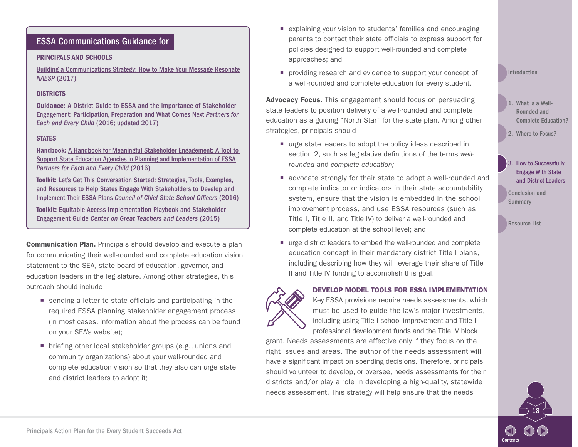#### PRINCIPALS AND SCHOOLS

[Building a Communications Strategy: How to Make Your Message Resonate](https://www.naesp.org/ESSApyramid) *NAESP* (2017)

#### **DISTRICTS**

Guidance: [A District Guide to ESSA and the Importance of Stakeholder](http://www.partnersforeachandeverychild.org/Publications/P4_District Guide_12.11.16.pdf)  [Engagement: Participation, Preparation and What Comes Next](http://www.partnersforeachandeverychild.org/Publications/P4_District Guide_12.11.16.pdf) *Partners for Each and Every Child* (2016; updated 2017)

#### **STATES**

Handbook: [A Handbook for Meaningful Stakeholder Engagement: A Tool to](http://partnersforeachandeverychild.org/P4_EngagementHandbook_ESSA_0616.pdf)  [Support State Education Agencies in Planning and Implementation of ESSA](http://partnersforeachandeverychild.org/P4_EngagementHandbook_ESSA_0616.pdf) *Partners for Each and Every Child* (2016)

Toolkit: [Let's Get This Conversation Started: Strategies, Tools, Examples,](http://www.ccsso.org/Documents/2016/ESSA/CCSSO Stakeholder Engagement Guide FINAL.pdf)  [and Resources to Help States Engage With Stakeholders to Develop and](http://www.ccsso.org/Documents/2016/ESSA/CCSSO Stakeholder Engagement Guide FINAL.pdf)  [Implement Their ESSA Plans](http://www.ccsso.org/Documents/2016/ESSA/CCSSO Stakeholder Engagement Guide FINAL.pdf) *Council of Chief State School Officers* (2016)

Toolkit: [Equitable Access Implementation](http://www.gtlcenter.org/sites/default/files/Communication_Guidebook.pdf) Playbook and [Stakeholder](http://www.gtlcenter.org/sites/default/files/GTL_StakeholderOverview.pdf)  [Engagement Guide](http://www.gtlcenter.org/sites/default/files/GTL_StakeholderOverview.pdf) *Center on Great Teachers and Leaders* (2015)

Communication Plan. Principals should develop and execute a plan for communicating their well-rounded and complete education vision statement to the SEA, state board of education, governor, and education leaders in the legislature. Among other strategies, this outreach should include

- sending a letter to state officials and participating in the required ESSA planning stakeholder engagement process (in most cases, information about the process can be found on your SEA's website);
- briefing other local stakeholder groups (e.g., unions and community organizations) about your well-rounded and complete education vision so that they also can urge state and district leaders to adopt it;
- explaining your vision to students' families and encouraging parents to contact their state officials to express support for policies designed to support well-rounded and complete approaches; and
- **peroprenty** providing research and evidence to support your concept of a well-rounded and complete education for every student.

Advocacy Focus. This engagement should focus on persuading state leaders to position delivery of a well-rounded and complete education as a guiding "North Star" for the state plan. Among other strategies, principals should

- urge state leaders to adopt the policy ideas described in section 2, such as legislative definitions of the terms *wellrounded* and *complete education;*
- **E** advocate strongly for their state to adopt a well-rounded and complete indicator or indicators in their state accountability system, ensure that the vision is embedded in the school improvement process, and use ESSA resources (such as Title I, Title II, and Title IV) to deliver a well-rounded and complete education at the school level; and
- urge district leaders to embed the well-rounded and complete education concept in their mandatory district Title I plans, including describing how they will leverage their share of Title II and Title IV funding to accomplish this goal.

DEVELOP MODEL TOOLS FOR ESSA IMPLEMENTATION

Key ESSA provisions require needs assessments, which must be used to guide the law's major investments, including using Title I school improvement and Title II professional development funds and the Title IV block

grant. Needs assessments are effective only if they focus on the right issues and areas. The author of the needs assessment will have a significant impact on spending decisions. Therefore, principals should volunteer to develop, or oversee, needs assessments for their districts and/or play a role in developing a high-quality, statewide needs assessment. This strategy will help ensure that the needs

#### [Introduction](#page-3-0)

- 1. What Is a Well-Rounded and [Complete Education?](#page-6-0)
- 2. [Where to Focus?](#page-8-0)

#### 3. How to Successfully Engage With State [and District Leaders](#page-19-0)

[Conclusion and](#page-22-0)  **Summary** 

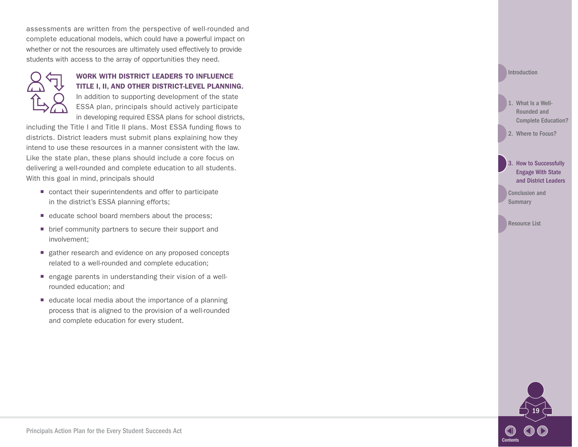assessments are written from the perspective of well-rounded and complete educational models, which could have a powerful impact on whether or not the resources are ultimately used effectively to provide students with access to the array of opportunities they need.



#### WORK WITH DISTRICT LEADERS TO INFLUENCE TITLE I, II, AND OTHER DISTRICT-LEVEL PLANNING.

In addition to supporting development of the state ESSA plan, principals should actively participate in developing required ESSA plans for school districts,

including the Title I and Title II plans. Most ESSA funding flows to districts. District leaders must submit plans explaining how they intend to use these resources in a manner consistent with the law. Like the state plan, these plans should include a core focus on delivering a well-rounded and complete education to all students. With this goal in mind, principals should

- contact their superintendents and offer to participate in the district's ESSA planning efforts;
- educate school board members about the process;
- brief community partners to secure their support and involvement;
- gather research and evidence on any proposed concepts related to a well-rounded and complete education;
- **engage parents in understanding their vision of a well**rounded education; and
- educate local media about the importance of a planning process that is aligned to the provision of a well-rounded and complete education for every student.



1. What Is a Well-Rounded and [Complete Education?](#page-6-0)

2. [Where to Focus?](#page-8-0)

3. How to Successfully Engage With State [and District Leaders](#page-19-0) 

[Conclusion and](#page-22-0)  **Summary** 

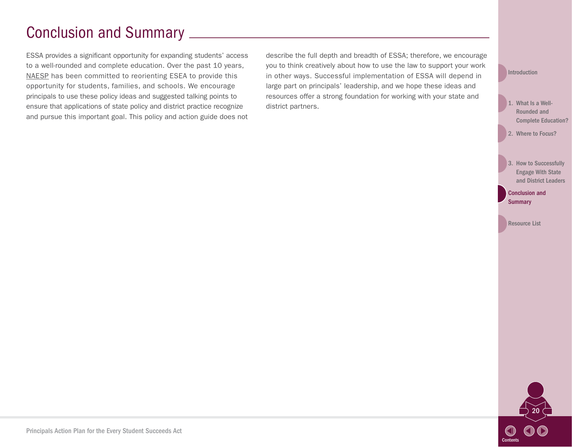# <span id="page-22-0"></span>Conclusion and Summary

ESSA provides a significant opportunity for expanding students' access to a well-rounded and complete education. Over the past 10 years, [NAESP](https://www.naesp.org/) has been committed to reorienting ESEA to provide this opportunity for students, families, and schools. We encourage principals to use these policy ideas and suggested talking points to ensure that applications of state policy and district practice recognize and pursue this important goal. This policy and action guide does not describe the full depth and breadth of ESSA; therefore, we encourage you to think creatively about how to use the law to support your work in other ways. Successful implementation of ESSA will depend in large part on principals' leadership, and we hope these ideas and resources offer a strong foundation for working with your state and district partners.

[Introduction](#page-3-0)

- 1. What Is a Well-Rounded and [Complete Education?](#page-6-0)
- 2. [Where to Focus?](#page-8-0)
- 3. How to Successfully Engage With State [and District Leaders](#page-19-0)

Conclusion and **Summary** 

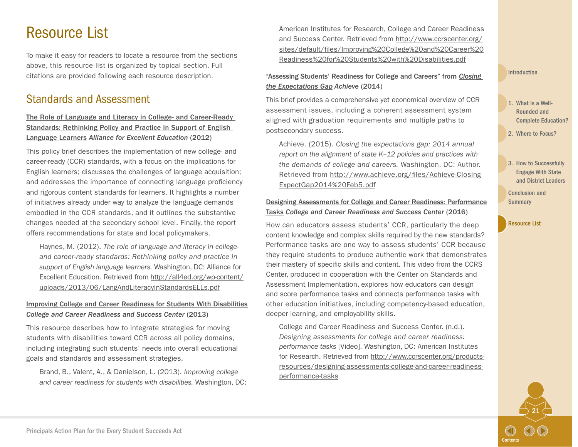# <span id="page-23-0"></span>Resource List

To make it easy for readers to locate a resource from the sections above, this resource list is organized by topical section. Full citations are provided following each resource description.

## Standards and Assessment

#### [The Role of Language and Literacy in College- and Career-Ready](http://all4ed.org/reports-factsheets/the-role-of-language-and-literacy-in-college-and-career-ready-standards-rethinking-policy-and-practice-in-support-of-english-language-learners/)  [Standards: Rethinking Policy and Practice in Support of English](http://all4ed.org/reports-factsheets/the-role-of-language-and-literacy-in-college-and-career-ready-standards-rethinking-policy-and-practice-in-support-of-english-language-learners/)  [Language Learners](http://all4ed.org/reports-factsheets/the-role-of-language-and-literacy-in-college-and-career-ready-standards-rethinking-policy-and-practice-in-support-of-english-language-learners/) *Alliance for Excellent Education* (2012)

This policy brief describes the implementation of new college- and career-ready (CCR) standards, with a focus on the implications for English learners; discusses the challenges of language acquisition; and addresses the importance of connecting language proficiency and rigorous content standards for learners. It highlights a number of initiatives already under way to analyze the language demands embodied in the CCR standards, and it outlines the substantive changes needed at the secondary school level. Finally, the report offers recommendations for state and local policymakers.

Haynes, M. (2012). *The role of language and literacy in collegeand career-ready standards: Rethinking policy and practice in support of English language learners.* Washington, DC: Alliance for Excellent Education. Retrieved from [http://all4ed.org/wp-content/](http://all4ed.org/wp-content/uploads/2013/06/LangAndLiteracyInStandardsELLs.pdf) [uploads/2013/06/LangAndLiteracyInStandardsELLs.pdf](http://all4ed.org/wp-content/uploads/2013/06/LangAndLiteracyInStandardsELLs.pdf)

#### [Improving College and Career Readiness for Students With Disabilities](http://www.ccrscenter.org/sites/default/files/Improving College and Career Readiness for Students with Disabilities.pdf) *College and Career Readiness and Success Center* (2013)

This resource describes how to integrate strategies for moving students with disabilities toward CCR across all policy domains, including integrating such students' needs into overall educational goals and standards and assessment strategies.

Brand, B., Valent, A., & Danielson, L. (2013). *Improving college and career readiness for students with disabilities.* Washington, DC: American Institutes for Research, College and Career Readiness and Success Center. Retrieved from [http://www.ccrscenter.org/](http://www.ccrscenter.org/sites/default/files/Improving College and Career Readiness for%20Students with Disabilities.pdf) [sites/default/files/Improving%20College%20and%20Career%20](http://www.ccrscenter.org/sites/default/files/Improving College and Career Readiness for%20Students with Disabilities.pdf) [Readiness%20for%20Students%20with%20Disabilities.pdf](http://www.ccrscenter.org/sites/default/files/Improving College and Career Readiness for%20Students with Disabilities.pdf)

#### "Assessing Students' Readiness for College and Careers" from *[Closing](http://www.achieve.org/publications/closing-expectations-gap-2014)  [the Expectations Gap](http://www.achieve.org/publications/closing-expectations-gap-2014) Achieve* (2014)

This brief provides a comprehensive yet economical overview of CCR assessment issues, including a coherent assessment system aligned with graduation requirements and multiple paths to postsecondary success.

Achieve. (2015). *Closing the expectations gap: 2014 annual report on the alignment of state K–12 policies and practices with the demands of college and careers.* Washington, DC: Author. Retrieved from [http://www.achieve.org/files/Achieve-Closing](http://www.achieve.org/files/Achieve-ClosingExpectGap2014%20Feb5.pdf) [ExpectGap2014%20Feb5.pdf](http://www.achieve.org/files/Achieve-ClosingExpectGap2014%20Feb5.pdf)

#### [Designing Assessments for College and Career Readiness: Performance](http://www.ccrscenter.org/products-resources/designing-assessments-college-and-career-readiness-performance-tasks) [Tasks](http://www.ccrscenter.org/products-resources/designing-assessments-college-and-career-readiness-performance-tasks) *College and Career Readiness and Success Center* (2016)

How can educators assess students' CCR, particularly the deep content knowledge and complex skills required by the new standards? Performance tasks are one way to assess students' CCR because they require students to produce authentic work that demonstrates their mastery of specific skills and content. This video from the CCRS Center, produced in cooperation with the Center on Standards and Assessment Implementation, explores how educators can design and score performance tasks and connects performance tasks with other education initiatives, including competency-based education, deeper learning, and employability skills.

College and Career Readiness and Success Center. (n.d.). *Designing assessments for college and career readiness: performance tasks* [Video]. Washington, DC: American Institutes for Research. Retrieved from [http://www.ccrscenter.org/products](http://www.ccrscenter.org/products-resources/designing-assessments-college-and-career-readiness-performance-tasks)[resources/designing-assessments-college-and-career-readiness](http://www.ccrscenter.org/products-resources/designing-assessments-college-and-career-readiness-performance-tasks)[performance-tasks](http://www.ccrscenter.org/products-resources/designing-assessments-college-and-career-readiness-performance-tasks)

[Introduction](#page-3-0)

- 1. What Is a Well-Rounded and [Complete Education?](#page-6-0)
- 2. [Where to Focus?](#page-8-0)
- 3. How to Successfully Engage With State [and District Leaders](#page-19-0)

21

**[Contents](#page-2-0)** 

[Conclusion and](#page-22-0)  **Summary**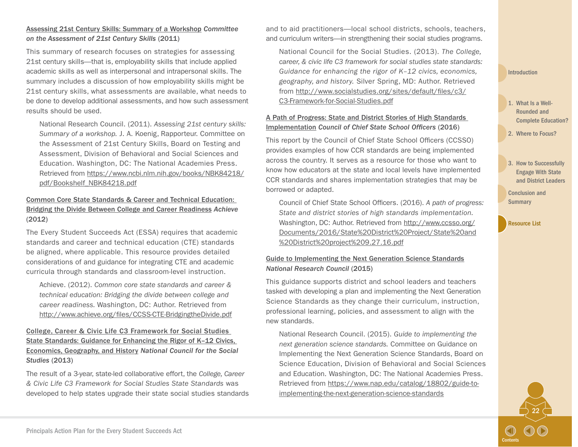#### [Assessing 21st Century Skills: Summary of a Workshop](https://www.ncbi.nlm.nih.gov/books/NBK84218/pdf/Bookshelf_NBK84218.pdf) *Committee on the Assessment of 21st Century Skills* (2011)

This summary of research focuses on strategies for assessing 21st century skills—that is, employability skills that include applied academic skills as well as interpersonal and intrapersonal skills. The summary includes a discussion of how employability skills might be 21st century skills, what assessments are available, what needs to be done to develop additional assessments, and how such assessment results should be used.

National Research Council. (2011). *Assessing 21st century skills: Summary of a workshop.* J. A. Koenig, Rapporteur. Committee on the Assessment of 21st Century Skills, Board on Testing and Assessment, Division of Behavioral and Social Sciences and Education. Washington, DC: The National Academies Press. Retrieved from [https://www.ncbi.nlm.nih.gov/books/NBK84218/](https://www.ncbi.nlm.nih.gov/books/NBK84218/pdf/Bookshelf_NBK84218.pdf) [pdf/Bookshelf\\_NBK84218.pdf](https://www.ncbi.nlm.nih.gov/books/NBK84218/pdf/Bookshelf_NBK84218.pdf)

#### [Common Core State Standards & Career and Technical Education:](http://www.achieve.org/files/CCSS-CTE-BridgingtheDivide.pdf)  [Bridging the Divide Between College and Career Readiness](http://www.achieve.org/files/CCSS-CTE-BridgingtheDivide.pdf) *Achieve* (2012)

The Every Student Succeeds Act (ESSA) requires that academic standards and career and technical education (CTE) standards be aligned, where applicable. This resource provides detailed considerations of and guidance for integrating CTE and academic curricula through standards and classroom-level instruction.

Achieve. (2012). *Common core state standards and career & technical education: Bridging the divide between college and career readiness.* Washington, DC: Author. Retrieved from <http://www.achieve.org/files/CCSS-CTE-BridgingtheDivide.pdf>

#### [College, Career & Civic Life C3 Framework for Social Studies](http://www.socialstudies.org/sites/default/files/c3/C3-Framework-for-Social-Studies.pdf)  [State Standards: Guidance for Enhancing the Rigor of K–12 Civics,](http://www.socialstudies.org/sites/default/files/c3/C3-Framework-for-Social-Studies.pdf)  [Economics, Geography, and History](http://www.socialstudies.org/sites/default/files/c3/C3-Framework-for-Social-Studies.pdf) *National Council for the Social Studies* (2013)

The result of a 3-year, state-led collaborative effort, the *College, Career & Civic Life C3 Framework for Social Studies State Standards* was developed to help states upgrade their state social studies standards and to aid practitioners—local school districts, schools, teachers, and curriculum writers—in strengthening their social studies programs.

National Council for the Social Studies. (2013). *The College, career, & civic life C3 framework for social studies state standards: Guidance for enhancing the rigor of K–12 civics, economics, geography, and history.* Silver Spring, MD: Author. Retrieved from [http://www.socialstudies.org/sites/default/files/c3/](http://www.socialstudies.org/sites/default/files/c3/C3-Framework-for-Social-Studies.pdf) [C3-Framework-for-Social-Studies.pdf](http://www.socialstudies.org/sites/default/files/c3/C3-Framework-for-Social-Studies.pdf)

#### [A Path of Progress: State and District Stories of High Standards](http://www.ccsso.org/Documents/2016/State District Project/State and District project 9.27.16.pdf)  [Implementation](http://www.ccsso.org/Documents/2016/State District Project/State and District project 9.27.16.pdf) *Council of Chief State School Officers* (2016)

This report by the Council of Chief State School Officers (CCSSO) provides examples of how CCR standards are being implemented across the country. It serves as a resource for those who want to know how educators at the state and local levels have implemented CCR standards and shares implementation strategies that may be borrowed or adapted.

Council of Chief State School Officers. (2016). *A path of progress: State and district stories of high standards implementation.* Washington, DC: Author. Retrieved from [http://www.ccsso.org/](http://www.ccsso.org/Documents/2016/State District Project/State and District project 9.27.16.pdf) [Documents/2016/State%20District%20Project/State%20and](http://www.ccsso.org/Documents/2016/State District Project/State and District project 9.27.16.pdf) [%20District%20project%209.27.16.pdf](http://www.ccsso.org/Documents/2016/State District Project/State and District project 9.27.16.pdf)

#### [Guide to Implementing the Next Generation Science Standards](https://www.nap.edu/catalog/18802/guide-to-implementing-the-next-generation-science-standards) *National Research Council* (2015)

This guidance supports district and school leaders and teachers tasked with developing a plan and implementing the Next Generation Science Standards as they change their curriculum, instruction, professional learning, policies, and assessment to align with the new standards.

National Research Council. (2015). *Guide to implementing the next generation science standards.* Committee on Guidance on Implementing the Next Generation Science Standards, Board on Science Education, Division of Behavioral and Social Sciences and Education. Washington, DC: The National Academies Press. Retrieved from [https://www.nap.edu/catalog/18802/guide-to](https://www.nap.edu/catalog/18802/guide-to-implementing-the-next-generation-science-standards)[implementing-the-next-generation-science-standards](https://www.nap.edu/catalog/18802/guide-to-implementing-the-next-generation-science-standards)

#### [Introduction](#page-3-0)

- 1. What Is a Well-Rounded and [Complete Education?](#page-6-0)
- 2. [Where to Focus?](#page-8-0)
- 3. How to Successfully Engage With State [and District Leaders](#page-19-0)

22

**[Contents](#page-2-0)** 

[Conclusion and](#page-22-0)  **Summary**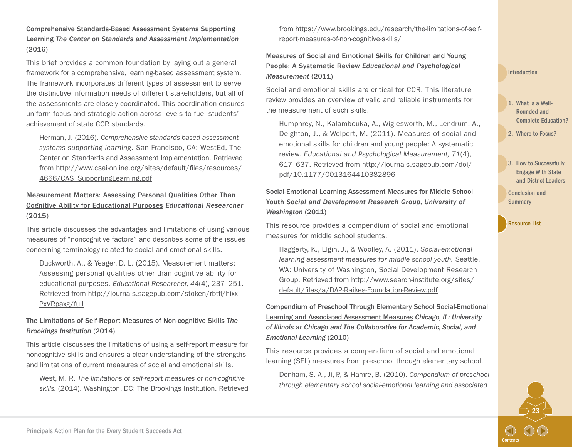[Comprehensive Standards-Based Assessment Systems Supporting](http://www.csai-online.org/sites/default/files/resources/4666/CAS_SupportingLearning.pdf)  [Learning](http://www.csai-online.org/sites/default/files/resources/4666/CAS_SupportingLearning.pdf) *The Center on Standards and Assessment Implementation* (2016)

This brief provides a common foundation by laying out a general framework for a comprehensive, learning-based assessment system. The framework incorporates different types of assessment to serve the distinctive information needs of different stakeholders, but all of the assessments are closely coordinated. This coordination ensures uniform focus and strategic action across levels to fuel students' achievement of state CCR standards.

Herman, J. (2016). *Comprehensive standards-based assessment systems supporting learning*. San Francisco, CA: WestEd, The Center on Standards and Assessment Implementation. Retrieved from [http://www.csai-online.org/sites/default/files/resources/](http://www.csai-online.org/sites/default/files/resources/4666/CAS_SupportingLearning.pdf) [4666/CAS\\_SupportingLearning.pdf](http://www.csai-online.org/sites/default/files/resources/4666/CAS_SupportingLearning.pdf)

[Measurement Matters: Assessing Personal Qualities Other Than](http://journals.sagepub.com/stoken/rbtfl/hixxiPxVRpaxg/full)  [Cognitive Ability for Educational Purposes](http://journals.sagepub.com/stoken/rbtfl/hixxiPxVRpaxg/full) *Educational Researcher* (2015)

This article discusses the advantages and limitations of using various measures of "noncognitive factors" and describes some of the issues concerning terminology related to social and emotional skills.

Duckworth, A., & Yeager, D. L. (2015). Measurement matters: Assessing personal qualities other than cognitive ability for educational purposes. *Educational Researcher, 44*(4), 237–251. Retrieved from [http://journals.sagepub.com/stoken/rbtfl/hixxi](http://journals.sagepub.com/stoken/rbtfl/hixxiPxVRpaxg/full) [PxVRpaxg/full](http://journals.sagepub.com/stoken/rbtfl/hixxiPxVRpaxg/full)

#### [The Limitations of Self-Report Measures of Non-cognitive Skills](https://www.brookings.edu/research/the-limitations-of-self-report-measures-of-non-cognitive-skills/) *The Brookings Institution* (2014)

This article discusses the limitations of using a self-report measure for noncognitive skills and ensures a clear understanding of the strengths and limitations of current measures of social and emotional skills.

West, M. R. *The limitations of self-report measures of non-cognitive skills.* (2014). Washington, DC: The Brookings Institution. Retrieved

from [https://www.brookings.edu/research/the-limitations-of-self](https://www.brookings.edu/research/the-limitations-of-self-report-measures-of-non-cognitive-skills/)[report-measures-of-non-cognitive-skills/](https://www.brookings.edu/research/the-limitations-of-self-report-measures-of-non-cognitive-skills/)

[Measures of Social and Emotional Skills for Children and Young](http://journals.sagepub.com/doi/pdf/10.1177/0013164410382896)  [People: A Systematic Review](http://journals.sagepub.com/doi/pdf/10.1177/0013164410382896) *Educational and Psychological Measurement* (2011)

Social and emotional skills are critical for CCR. This literature review provides an overview of valid and reliable instruments for the measurement of such skills.

Humphrey, N., Kalambouka, A., Wiglesworth, M., Lendrum, A., Deighton, J., & Wolpert, M. (2011). Measures of social and emotional skills for children and young people: A systematic review. *Educational and Psychological Measurement, 71*(4), 617–637. Retrieved from [http://journals.sagepub.com/doi/](http://journals.sagepub.com/doi/pdf/10.1177/0013164410382896) [pdf/10.1177/0013164410382896](http://journals.sagepub.com/doi/pdf/10.1177/0013164410382896)

[Social-Emotional Learning Assessment Measures for Middle School](http://www.search-institute.org/sites/default/files/a/DAP-Raikes-Foundation-Review.pdf)  [Youth](http://www.search-institute.org/sites/default/files/a/DAP-Raikes-Foundation-Review.pdf) *Social and Development Research Group, University of Washington* (2011)

This resource provides a compendium of social and emotional measures for middle school students.

Haggerty, K., Elgin, J., & Woolley, A. (2011). *Social-emotional learning assessment measures for middle school youth.* Seattle, WA: University of Washington, Social Development Research Group. Retrieved from [http://www.search-institute.org/sites/](http://www.search-institute.org/sites/default/files/a/DAP-Raikes-Foundation-Review.pdf) [default/files/a/DAP-Raikes-Foundation-Review.pdf](http://www.search-institute.org/sites/default/files/a/DAP-Raikes-Foundation-Review.pdf)

[Compendium of Preschool Through Elementary School Social-Emotional](http://static1.squarespace.com/static/513f79f9e4b05ce7b70e9673/t/527815bbe4b057bbfd8adb2e/1383601595064/compendium-of-preschool-through-elementary-school-social-emotional-learning-and-associated-assessment-measures.pdf)  [Learning and Associated Assessment Measures](http://static1.squarespace.com/static/513f79f9e4b05ce7b70e9673/t/527815bbe4b057bbfd8adb2e/1383601595064/compendium-of-preschool-through-elementary-school-social-emotional-learning-and-associated-assessment-measures.pdf) *Chicago, IL: University of Illinois at Chicago and The Collaborative for Academic, Social, and Emotional Learning* (2010)

This resource provides a compendium of social and emotional learning (SEL) measures from preschool through elementary school.

Denham, S. A., Ji, P., & Hamre, B. (2010). *Compendium of preschool through elementary school social-emotional learning and associated* 

#### [Introduction](#page-3-0)

- 1. What Is a Well-Rounded and [Complete Education?](#page-6-0)
- 2. [Where to Focus?](#page-8-0)
- 3. How to Successfully Engage With State [and District Leaders](#page-19-0)

23

**[Contents](#page-2-0)** 

[Conclusion and](#page-22-0)  **Summary**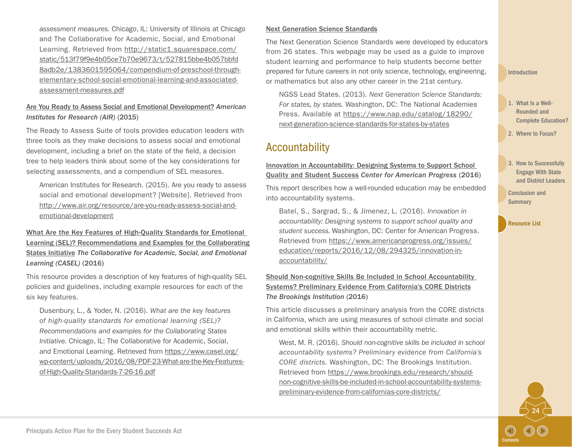*assessment measures.* Chicago, IL: University of Illinois at Chicago and The Collaborative for Academic, Social, and Emotional Learning. Retrieved from [http://static1.squarespace.com/](http://static1.squarespace.com/static/513f79f9e4b05ce7b70e9673/t/527815bbe4b057bbfd8adb2e/1383601595064/compendium-of-preschool-through-elementary-school-social-emotional-learning-and-associated-assessment-measures.pdf) [static/513f79f9e4b05ce7b70e9673/t/527815bbe4b057bbfd](http://static1.squarespace.com/static/513f79f9e4b05ce7b70e9673/t/527815bbe4b057bbfd8adb2e/1383601595064/compendium-of-preschool-through-elementary-school-social-emotional-learning-and-associated-assessment-measures.pdf) [8adb2e/1383601595064/compendium-of-preschool-through](http://static1.squarespace.com/static/513f79f9e4b05ce7b70e9673/t/527815bbe4b057bbfd8adb2e/1383601595064/compendium-of-preschool-through-elementary-school-social-emotional-learning-and-associated-assessment-measures.pdf)[elementary-school-social-emotional-learning-and-associated](http://static1.squarespace.com/static/513f79f9e4b05ce7b70e9673/t/527815bbe4b057bbfd8adb2e/1383601595064/compendium-of-preschool-through-elementary-school-social-emotional-learning-and-associated-assessment-measures.pdf)[assessment-measures.pdf](http://static1.squarespace.com/static/513f79f9e4b05ce7b70e9673/t/527815bbe4b057bbfd8adb2e/1383601595064/compendium-of-preschool-through-elementary-school-social-emotional-learning-and-associated-assessment-measures.pdf)

#### [Are You Ready to Assess Social and Emotional Development?](http://www.air.org/resource/are-you-ready-assess-social-and-emotional-development) *American Institutes for Research (AIR)* (2015)

The Ready to Assess Suite of tools provides education leaders with three tools as they make decisions to assess social and emotional development, including a brief on the state of the field, a decision tree to help leaders think about some of the key considerations for selecting assessments, and a compendium of SEL measures.

American Institutes for Research. (2015). Are you ready to assess social and emotional development? [Website]. Retrieved from [http://www.air.org/resource/are-you-ready-assess-social-and](http://www.air.org/resource/are-you-ready-assess-social-and-emotional-development)[emotional-development](http://www.air.org/resource/are-you-ready-assess-social-and-emotional-development)

[What Are the Key Features of High-Quality Standards for Emotional](https://www.casel.org/wp-content/uploads/2016/08/PDF-23-What-are-the-Key-Features-of-High-Quality-Standards-7-26-16.pdf)  [Learning \(SEL\)? Recommendations and Examples for the Collaborating](https://www.casel.org/wp-content/uploads/2016/08/PDF-23-What-are-the-Key-Features-of-High-Quality-Standards-7-26-16.pdf) [States Initiative](https://www.casel.org/wp-content/uploads/2016/08/PDF-23-What-are-the-Key-Features-of-High-Quality-Standards-7-26-16.pdf) *The Collaborative for Academic, Social, and Emotional Learning (CASEL)* (2016)

This resource provides a description of key features of high-quality SEL policies and guidelines, including example resources for each of the six key features.

Dusenbury, L., & Yoder, N. (2016). *What are the key features of high-quality standards for emotional learning (SEL)? Recommendations and examples for the Collaborating States Initiative.* Chicago, IL: The Collaborative for Academic, Social, and Emotional Learning. Retrieved from [https://www.casel.org/](https://www.casel.org/wp-content/uploads/2016/08/PDF-23-What-are-the-Key-Features-of-High-Quality-Standards-7-26-16.pdf) [wp-content/uploads/2016/08/PDF-23-What-are-the-Key-Features](https://www.casel.org/wp-content/uploads/2016/08/PDF-23-What-are-the-Key-Features-of-High-Quality-Standards-7-26-16.pdf)[of-High-Quality-Standards-7-26-16.pdf](https://www.casel.org/wp-content/uploads/2016/08/PDF-23-What-are-the-Key-Features-of-High-Quality-Standards-7-26-16.pdf)

#### [Next Generation Science Standards](http://www.nextgenscience.org/get-to-know)

The Next Generation Science Standards were developed by educators from 26 states. This webpage may be used as a guide to improve student learning and performance to help students become better prepared for future careers in not only science, technology, engineering, or mathematics but also any other career in the 21st century.

NGSS Lead States. (2013). *Next Generation Science Standards: For states, by states.* Washington, DC: The National Academies Press. Available at [https://www.nap.edu/catalog/18290/](https://www.nap.edu/catalog/18290/next-generation-science-standards-for-states-by-states) [next-generation-science-standards-for-states-by-states](https://www.nap.edu/catalog/18290/next-generation-science-standards-for-states-by-states)

### Accountability

[Innovation in Accountability: Designing Systems to Support School](https://www.americanprogress.org/issues/education/reports/2016/12/08/294325/innovation-in-accountability/)  [Quality and Student Success](https://www.americanprogress.org/issues/education/reports/2016/12/08/294325/innovation-in-accountability/) *Center for American Progress* (2016)

This report describes how a well-rounded education may be embedded into accountability systems.

Batel, S., Sargrad, S., & Jimenez, L. (2016). *Innovation in accountability: Designing systems to support school quality and student success.* Washington, DC: Center for American Progress. Retrieved from [https://www.americanprogress.org/issues/](https://www.americanprogress.org/issues/education/reports/2016/12/08/294325/innovation-in-accountability/) [education/reports/2016/12/08/294325/innovation-in](https://www.americanprogress.org/issues/education/reports/2016/12/08/294325/innovation-in-accountability/)[accountability/](https://www.americanprogress.org/issues/education/reports/2016/12/08/294325/innovation-in-accountability/)

#### [Should Non-cognitive Skills Be Included in School Accountability](https://www.brookings.edu/research/should-non-cognitive-skills-be-included-in-school-accountability-systems-preliminary-evidence-from-californias-core-districts/)  [Systems? Preliminary Evidence From California's CORE Districts](https://www.brookings.edu/research/should-non-cognitive-skills-be-included-in-school-accountability-systems-preliminary-evidence-from-californias-core-districts/) *The Brookings Institution* (2016)

This article discusses a preliminary analysis from the CORE districts in California, which are using measures of school climate and social and emotional skills within their accountability metric.

West, M. R. (2016). *Should non-cognitive skills be included in school accountability systems? Preliminary evidence from California's CORE districts.* Washington, DC: The Brookings Institution. Retrieved from [https://www.brookings.edu/research/should](https://www.brookings.edu/research/should-non-cognitive-skills-be-included-in-school-accountability-systems-preliminary-evidence-from-californias-core-districts/)[non-cognitive-skills-be-included-in-school-accountability-systems](https://www.brookings.edu/research/should-non-cognitive-skills-be-included-in-school-accountability-systems-preliminary-evidence-from-californias-core-districts/)[preliminary-evidence-from-californias-core-districts/](https://www.brookings.edu/research/should-non-cognitive-skills-be-included-in-school-accountability-systems-preliminary-evidence-from-californias-core-districts/)

[Introduction](#page-3-0)

- 1. What Is a Well-Rounded and [Complete Education?](#page-6-0)
- 2. [Where to Focus?](#page-8-0)
- 3. How to Successfully Engage With State [and District Leaders](#page-19-0)

24

**[Contents](#page-2-0)** 

[Conclusion and](#page-22-0)  **Summary**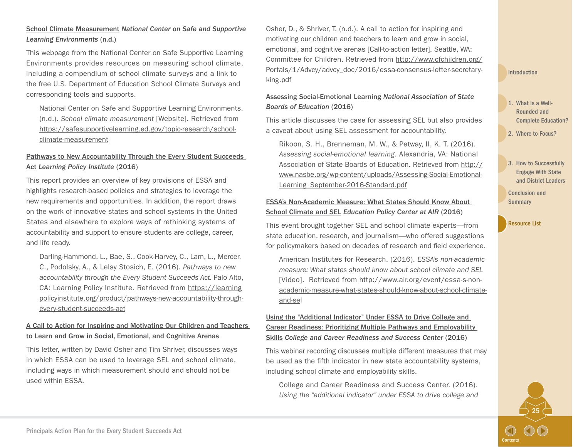This webpage from the National Center on Safe Supportive Learning Environments provides resources on measuring school climate, including a compendium of school climate surveys and a link to the free U.S. Department of Education School Climate Surveys and corresponding tools and supports.

National Center on Safe and Supportive Learning Environments. (n.d.). *School climate measurement* [Website]. Retrieved from [https://safesupportivelearning.ed.gov/topic-research/school](https://safesupportivelearning.ed.gov/topic-research/school-climate-measurement)[climate-measurement](https://safesupportivelearning.ed.gov/topic-research/school-climate-measurement)

#### [Pathways to New Accountability Through the Every Student Succeeds](https://learningpolicyinstitute.org/product/pathways-new-accountability-through-every-student-succeeds-act)  [Act](https://learningpolicyinstitute.org/product/pathways-new-accountability-through-every-student-succeeds-act) *Learning Policy Institute* (2016)

This report provides an overview of key provisions of ESSA and highlights research-based policies and strategies to leverage the new requirements and opportunities. In addition, the report draws on the work of innovative states and school systems in the United States and elsewhere to explore ways of rethinking systems of accountability and support to ensure students are college, career, and life ready.

Darling-Hammond, L., Bae, S., Cook-Harvey, C., Lam, L., Mercer, C., Podolsky, A., & Lelsy Stosich, E. (2016). *Pathways to new accountability through the Every Student Succeeds Act.* Palo Alto, CA: Learning Policy Institute. Retrieved from [https://learning](https://learningpolicyinstitute.org/product/pathways-new-accountability-through-every-student-succeeds-act) [policyinstitute.org/product/pathways-new-accountability-through](https://learningpolicyinstitute.org/product/pathways-new-accountability-through-every-student-succeeds-act)[every-student-succeeds-act](https://learningpolicyinstitute.org/product/pathways-new-accountability-through-every-student-succeeds-act)

#### [A Call to Action for Inspiring and Motivating Our Children and Teachers](http://www.cfchildren.org/Portals/1/Advcy/advcy_doc/2016/essa-consensus-letter-secretary-king.pdf)  [to Learn and Grow in Social, Emotional, and Cognitive Arenas](http://www.cfchildren.org/Portals/1/Advcy/advcy_doc/2016/essa-consensus-letter-secretary-king.pdf)

This letter, written by David Osher and Tim Shriver, discusses ways in which ESSA can be used to leverage SEL and school climate, including ways in which measurement should and should not be used within ESSA.

Osher, D., & Shriver, T. (n.d.). A call to action for inspiring and motivating our children and teachers to learn and grow in social, emotional, and cognitive arenas [Call-to-action letter]. Seattle, WA: Committee for Children. Retrieved from [http://www.cfchildren.org/](http://www.cfchildren.org/Portals/1/Advcy/advcy_doc/2016/essa-consensus-letter-secretary-king.pdf) [Portals/1/Advcy/advcy\\_doc/2016/essa-consensus-letter-secretary](http://www.cfchildren.org/Portals/1/Advcy/advcy_doc/2016/essa-consensus-letter-secretary-king.pdf)[king.pdf](http://www.cfchildren.org/Portals/1/Advcy/advcy_doc/2016/essa-consensus-letter-secretary-king.pdf)

#### [Assessing Social-Emotional Learning](http://www.nasbe.org/wp-content/uploads/Assessing-Social-Emotional-Learning_September-2016-Standard.pdf) *National Association of State Boards of Education* (2016)

This article discusses the case for assessing SEL but also provides a caveat about using SEL assessment for accountability.

Rikoon, S. H., Brenneman, M. W., & Petway, II, K. T. (2016). *Assessing social-emotional learning.* Alexandria, VA: National Association of State Boards of Education. Retrieved from [http://](http://www.nasbe.org/wp-content/uploads/Assessing-Social-Emotional-Learning_September-2016-Standard.pdf) [www.nasbe.org/wp-content/uploads/Assessing-Social-Emotional-](http://www.nasbe.org/wp-content/uploads/Assessing-Social-Emotional-Learning_September-2016-Standard.pdf)[Learning\\_September-2016-Standard.pdf](http://www.nasbe.org/wp-content/uploads/Assessing-Social-Emotional-Learning_September-2016-Standard.pdf)

#### [ESSA's Non-Academic Measure: What States Should Know About](http://www.air.org/event/essa-s-non-academic-measure-what-states-should-know-about-school-climate-and-sel)  [School Climate and SEL](http://www.air.org/event/essa-s-non-academic-measure-what-states-should-know-about-school-climate-and-sel) *Education Policy Center at AIR* (2016)

This event brought together SEL and school climate experts—from state education, research, and journalism—who offered suggestions for policymakers based on decades of research and field experience.

American Institutes for Research. (2016). *ESSA's non-academic measure: What states should know about school climate and SEL* [Video]. Retrieved from [http://www.air.org/event/essa-s-non](http://www.air.org/event/essa-s-non-academic-measure-what-states-should-know-about-school-climate-and-sel)[academic-measure-what-states-should-know-about-school-climate](http://www.air.org/event/essa-s-non-academic-measure-what-states-should-know-about-school-climate-and-sel)[and-sel](http://www.air.org/event/essa-s-non-academic-measure-what-states-should-know-about-school-climate-and-sel)

[Using the "Additional Indicator" Under ESSA to Drive College and](http://www.ccrscenter.org/products-resources/ccrs-center-webinars-events/using-additional-indicator-under-essa-drive-college)  [Career Readiness: Prioritizing Multiple Pathways and Employability](http://www.ccrscenter.org/products-resources/ccrs-center-webinars-events/using-additional-indicator-under-essa-drive-college)  [Skills](http://www.ccrscenter.org/products-resources/ccrs-center-webinars-events/using-additional-indicator-under-essa-drive-college) *College and Career Readiness and Success Center* (2016)

This webinar recording discusses multiple different measures that may be used as the fifth indicator in new state accountability systems, including school climate and employability skills.

College and Career Readiness and Success Center. (2016). *Using the "additional indicator" under ESSA to drive college and* 

#### [Introduction](#page-3-0)

- 1. What Is a Well-Rounded and [Complete Education?](#page-6-0)
- 2. [Where to Focus?](#page-8-0)
- 3. How to Successfully Engage With State [and District Leaders](#page-19-0)

25

**[Contents](#page-2-0)** 

[Conclusion and](#page-22-0)  **Summary**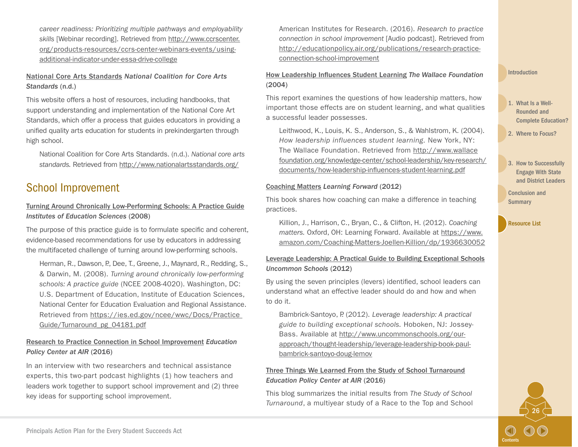*career readiness: Prioritizing multiple pathways and employability skills* [Webinar recording]. Retrieved from [http://www.ccrscenter.](http://www.ccrscenter.org/products-resources/ccrs-center-webinars-events/using-additional-indicator-under-essa-drive-college) [org/products-resources/ccrs-center-webinars-events/using](http://www.ccrscenter.org/products-resources/ccrs-center-webinars-events/using-additional-indicator-under-essa-drive-college)[additional-indicator-under-essa-drive-college](http://www.ccrscenter.org/products-resources/ccrs-center-webinars-events/using-additional-indicator-under-essa-drive-college)

#### [National Core Arts Standards](http://nationalartsstandards.org/) *National Coalition for Core Arts Standards* (n.d.)

This website offers a host of resources, including handbooks, that support understanding and implementation of the National Core Art Standards, which offer a process that guides educators in providing a unified quality arts education for students in prekindergarten through high school.

National Coalition for Core Arts Standards. (n.d.). *National core arts standards.* Retrieved from <http://www.nationalartsstandards.org/>

# School Improvement

#### [Turning Around Chronically Low-Performing Schools: A Practice Guide](https://ies.ed.gov/ncee/wwc/Docs/PracticeGuide/Turnaround_pg_04181.pdf) *Institutes of Education Sciences* (2008)

The purpose of this practice guide is to formulate specific and coherent, evidence-based recommendations for use by educators in addressing the multifaceted challenge of turning around low-performing schools.

Herman, R., Dawson, P., Dee, T., Greene, J., Maynard, R., Redding, S., & Darwin, M. (2008). *Turning around chronically low-performing schools: A practice guide* (NCEE 2008-4020). Washington, DC: U.S. Department of Education, Institute of Education Sciences, National Center for Education Evaluation and Regional Assistance. Retrieved from [https://ies.ed.gov/ncee/wwc/Docs/Practice](https://ies.ed.gov/ncee/wwc/Docs/PracticeGuide/Turnaround_pg_04181.pdf)  [Guide/Turnaround\\_pg\\_04181.pdf](https://ies.ed.gov/ncee/wwc/Docs/PracticeGuide/Turnaround_pg_04181.pdf)

#### [Research to Practice Connection in School Improvement](http://educationpolicy.air.org/publications/research-practice-connection-school-improvement) *Education Policy Center at AIR* (2016)

In an interview with two researchers and technical assistance experts, this two-part podcast highlights (1) how teachers and leaders work together to support school improvement and (2) three key ideas for supporting school improvement.

American Institutes for Research. (2016). *Research to practice connection in school improvement* [Audio podcast]. Retrieved from [http://educationpolicy.air.org/publications/research-practice](http://educationpolicy.air.org/publications/research-practice-connection-school-improvement)[connection-school-improvement](http://educationpolicy.air.org/publications/research-practice-connection-school-improvement)

#### [How Leadership Influences Student Learning](http://www.wallacefoundation.org/knowledge-center/Documents/How-Leadership-Influences-Student-Learning.pdf) *The Wallace Foundation* (2004)

This report examines the questions of how leadership matters, how important those effects are on student learning, and what qualities a successful leader possesses.

Leithwood, K., Louis, K. S., Anderson, S., & Wahlstrom, K. (2004). *How leadership influences student learning.* New York, NY: The Wallace Foundation. Retrieved from [http://www.wallace](http://www.wallacefoundation.org/knowledge-center/school-leadership/key-research/documents/how-leadership-influences-student-learning.pdf) [foundation.org/knowledge-center/school-leadership/key-research/](http://www.wallacefoundation.org/knowledge-center/school-leadership/key-research/documents/how-leadership-influences-student-learning.pdf) [documents/how-leadership-influences-student-learning.pdf](http://www.wallacefoundation.org/knowledge-center/school-leadership/key-research/documents/how-leadership-influences-student-learning.pdf)

#### [Coaching Matters](https://www.amazon.com/Coaching-Matters-Joellen-Killion/dp/1936630052) *Learning Forward* (2012)

This book shares how coaching can make a difference in teaching practices.

Killion, J., Harrison, C., Bryan, C., & Clifton, H. (2012). *Coaching matters.* Oxford, OH: Learning Forward. Available at [https://www.](https://www.amazon.com/Coaching-Matters-Joellen-Killion/dp/1936630052) [amazon.com/Coaching-Matters-Joellen-Killion/dp/1936630052](https://www.amazon.com/Coaching-Matters-Joellen-Killion/dp/1936630052)

#### [Leverage Leadership: A Practical Guide to Building Exceptional Schools](http://www.uncommonschools.org/our-approach/thought-leadership/leverage-leadership-book-paul-bambrick-santoyo-doug-lemov) *Uncommon Schools* (2012)

By using the seven principles (levers) identified, school leaders can understand what an effective leader should do and how and when to do it.

Bambrick-Santoyo, P. (2012). *Leverage leadership: A practical guide to building exceptional schools.* Hoboken, NJ: Jossey-Bass. Available at [http://www.uncommonschools.org/our](http://www.uncommonschools.org/our-approach/thought-leadership/leverage-leadership-book-paul-bambrick-santoyo-doug-lemov)[approach/thought-leadership/leverage-leadership-book-paul](http://www.uncommonschools.org/our-approach/thought-leadership/leverage-leadership-book-paul-bambrick-santoyo-doug-lemov)[bambrick-santoyo-doug-lemov](http://www.uncommonschools.org/our-approach/thought-leadership/leverage-leadership-book-paul-bambrick-santoyo-doug-lemov)

#### [Three Things We Learned From the Study of School Turnaround](http://educationpolicy.air.org/blog/three-things-we-learned-study-school-turnaround) *Education Policy Center at AIR* (2016)

This blog summarizes the initial results from *The Study of School Turnaround*, a multiyear study of a Race to the Top and School

#### [Introduction](#page-3-0)

- 1. What Is a Well-Rounded and [Complete Education?](#page-6-0)
- 2. [Where to Focus?](#page-8-0)
- 3. How to Successfully Engage With State [and District Leaders](#page-19-0)

26

**[Contents](#page-2-0)** 

[Conclusion and](#page-22-0)  **Summary**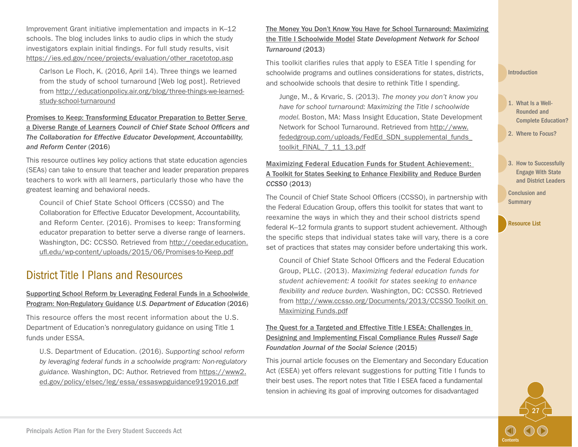Improvement Grant initiative implementation and impacts in K–12 schools. The blog includes links to audio clips in which the study investigators explain initial findings. For full study results, visit [https://ies.ed.gov/ncee/projects/evaluation/other\\_racetotop.asp](https://ies.ed.gov/ncee/projects/evaluation/other_racetotop.asp)

Carlson Le Floch, K. (2016, April 14). Three things we learned from the study of school turnaround [Web log post]. Retrieved from [http://educationpolicy.air.org/blog/three-things-we-learned](http://educationpolicy.air.org/blog/three-things-we-learned-study-school-turnaround)[study-school-turnaround](http://educationpolicy.air.org/blog/three-things-we-learned-study-school-turnaround)

[Promises to Keep: Transforming Educator Preparation to Better Serve](http://ceedar.education.ufl.edu/wp-content/uploads/2015/06/Promises-to-Keep.pdf)  [a Diverse Range of Learners](http://ceedar.education.ufl.edu/wp-content/uploads/2015/06/Promises-to-Keep.pdf) *Council of Chief State School Officers and The Collaboration for Effective Educator Development, Accountability, and Reform Center* (2016)

This resource outlines key policy actions that state education agencies (SEAs) can take to ensure that teacher and leader preparation prepares teachers to work with all learners, particularly those who have the greatest learning and behavioral needs.

Council of Chief State School Officers (CCSSO) and The Collaboration for Effective Educator Development, Accountability, and Reform Center. (2016). Promises to keep: Transforming educator preparation to better serve a diverse range of learners. Washington, DC: CCSSO. Retrieved from [http://ceedar.education.](http://ceedar.education.ufl.edu/wp-content/uploads/2015/06/Promises-to-Keep.pdf) [ufl.edu/wp-content/uploads/2015/06/Promises-to-Keep.pdf](http://ceedar.education.ufl.edu/wp-content/uploads/2015/06/Promises-to-Keep.pdf)

# District Title I Plans and Resources

#### [Supporting School Reform by Leveraging Federal Funds in a Schoolwide](https://www2.ed.gov/policy/elsec/leg/essa/essaswpguidance9192016.pdf) [Program: Non-Regulatory Guidance](https://www2.ed.gov/policy/elsec/leg/essa/essaswpguidance9192016.pdf) *U.S. Department of Education* (2016)

This resource offers the most recent information about the U.S. Department of Education's nonregulatory guidance on using Title 1 funds under ESSA.

U.S. Department of Education. (2016). *Supporting school reform by leveraging federal funds in a schoolwide program: Non-regulatory guidance.* Washington, DC: Author. Retrieved from [https://www2.](https://www2.ed.gov/policy/elsec/leg/essa/essaswpguidance9192016.pdf) [ed.gov/policy/elsec/leg/essa/essaswpguidance9192016.pdf](https://www2.ed.gov/policy/elsec/leg/essa/essaswpguidance9192016.pdf)

[The Money You Don't Know You Have for School Turnaround: Maximizing](http://www.fededgroup.com/uploads/FedEd_SDN_supplemental_funds_toolkit_FINAL_7_11_13.pdf) [the Title I Schoolwide Model](http://www.fededgroup.com/uploads/FedEd_SDN_supplemental_funds_toolkit_FINAL_7_11_13.pdf) *State Development Network for School Turnaround* (2013)

This toolkit clarifies rules that apply to ESEA Title I spending for schoolwide programs and outlines considerations for states, districts, and schoolwide schools that desire to rethink Title I spending.

Junge, M., & Krvaric, S. (2013). *The money you don't know you have for school turnaround: Maximizing the Title I schoolwide model.* Boston, MA: Mass Insight Education, State Development Network for School Turnaround. Retrieved from [http://www.](http://www.fededgroup.com/uploads/FedEd_SDN_supplemental_funds_toolkit_FINAL_7_11_13.pdf) [fededgroup.com/uploads/FedEd\\_SDN\\_supplemental\\_funds\\_](http://www.fededgroup.com/uploads/FedEd_SDN_supplemental_funds_toolkit_FINAL_7_11_13.pdf) [toolkit\\_FINAL\\_7\\_11\\_13.pdf](http://www.fededgroup.com/uploads/FedEd_SDN_supplemental_funds_toolkit_FINAL_7_11_13.pdf)

#### [Maximizing Federal Education Funds for Student Achievement:](http://www.ccsso.org/Documents/2013/CCSSO%20Toolkit%20on%20Maximizing%20Funds.pdf)  [A Toolkit for States Seeking to Enhance Flexibility and Reduce Burden](http://www.ccsso.org/Documents/2013/CCSSO%20Toolkit%20on%20Maximizing%20Funds.pdf) *CCSSO* (2013)

The Council of Chief State School Officers (CCSSO), in partnership with the Federal Education Group, offers this toolkit for states that want to reexamine the ways in which they and their school districts spend federal K–12 formula grants to support student achievement. Although the specific steps that individual states take will vary, there is a core set of practices that states may consider before undertaking this work.

Council of Chief State School Officers and the Federal Education Group, PLLC. (2013). *Maximizing federal education funds for student achievement: A toolkit for states seeking to enhance flexibility and reduce burden.* Washington, DC: CCSSO. Retrieved from [http://www.ccsso.org/Documents/2013/CCSSO Toolkit on](http://www.ccsso.org/Documents/2013/CCSSO%20Toolkit%20on%20Maximizing%20Funds.pdf)  [Maximizing Funds.pdf](http://www.ccsso.org/Documents/2013/CCSSO%20Toolkit%20on%20Maximizing%20Funds.pdf)

#### [The Quest for a Targeted and Effective Title I ESEA: Challenges in](http://www.rsfjournal.org/doi/full/10.7758/RSF.2015.1.3.07)  [Designing and Implementing Fiscal Compliance Rules](http://www.rsfjournal.org/doi/full/10.7758/RSF.2015.1.3.07) *Russell Sage Foundation Journal of the Social Science* (2015)

This journal article focuses on the Elementary and Secondary Education Act (ESEA) yet offers relevant suggestions for putting Title I funds to their best uses. The report notes that Title I ESEA faced a fundamental tension in achieving its goal of improving outcomes for disadvantaged

#### [Introduction](#page-3-0)

- 1. What Is a Well-Rounded and [Complete Education?](#page-6-0)
- 2. [Where to Focus?](#page-8-0)
- 3. How to Successfully Engage With State [and District Leaders](#page-19-0)

27

**[Contents](#page-2-0)** 

[Conclusion and](#page-22-0)  **Summary**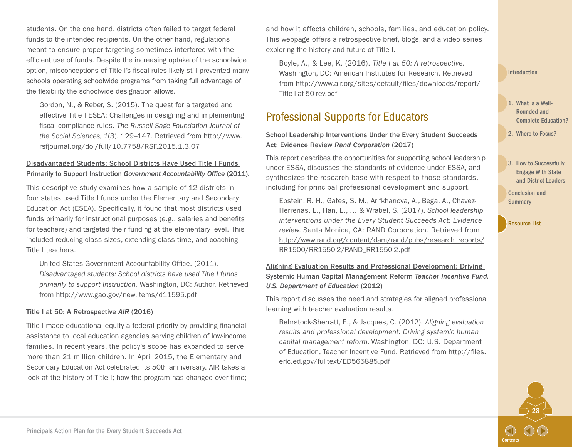students. On the one hand, districts often failed to target federal funds to the intended recipients. On the other hand, regulations meant to ensure proper targeting sometimes interfered with the efficient use of funds. Despite the increasing uptake of the schoolwide option, misconceptions of Title I's fiscal rules likely still prevented many schools operating schoolwide programs from taking full advantage of the flexibility the schoolwide designation allows.

Gordon, N., & Reber, S. (2015). The quest for a targeted and effective Title I ESEA: Challenges in designing and implementing fiscal compliance rules. *The Russell Sage Foundation Journal of the Social Sciences, 1*(3), 129–147. Retrieved from [http://www.](http://www.rsfjournal.org/doi/full/10.7758/RSF.2015.1.3.07) [rsfjournal.org/doi/full/10.7758/RSF.2015.1.3.07](http://www.rsfjournal.org/doi/full/10.7758/RSF.2015.1.3.07)

#### [Disadvantaged Students: School Districts Have Used Title I Funds](http://www.gao.gov/new.items/d11595.pdf)  [Primarily to Support Instruction](http://www.gao.gov/new.items/d11595.pdf) *Government Accountability Office* (2011).

This descriptive study examines how a sample of 12 districts in four states used Title I funds under the Elementary and Secondary Education Act (ESEA). Specifically, it found that most districts used funds primarily for instructional purposes (e.g., salaries and benefits for teachers) and targeted their funding at the elementary level. This included reducing class sizes, extending class time, and coaching Title I teachers.

United States Government Accountability Office. (2011). *Disadvantaged students: School districts have used Title I funds primarily to support Instruction.* Washington, DC: Author. Retrieved from <http://www.gao.gov/new.items/d11595.pdf>

#### [Title I at 50: A Retrospective](http://www.air.org/resource/title-i-50-past-present-and-future) *AIR* (2016)

Title I made educational equity a federal priority by providing financial assistance to local education agencies serving children of low-income families. In recent years, the policy's scope has expanded to serve more than 21 million children. In April 2015, the Elementary and Secondary Education Act celebrated its 50th anniversary. AIR takes a look at the history of Title I; how the program has changed over time; and how it affects children, schools, families, and education policy. This webpage offers a retrospective brief, blogs, and a video series exploring the history and future of Title I.

Boyle, A., & Lee, K. (2016). *Title I at 50: A retrospective.*  Washington, DC: American Institutes for Research. Retrieved from [http://www.air.org/sites/default/files/downloads/report/](http://www.air.org/sites/default/files/downloads/report/Title-I-at-50-rev.pdf) [Title-I-at-50-rev.pdf](http://www.air.org/sites/default/files/downloads/report/Title-I-at-50-rev.pdf)

### Professional Supports for Educators

#### [School Leadership Interventions Under the Every Student Succeeds](http://www.rand.org/pubs/research_reports/RR1550-1.html)  [Act: Evidence Review](http://www.rand.org/pubs/research_reports/RR1550-1.html) *Rand Corporation* (2017)

This report describes the opportunities for supporting school leadership under ESSA, discusses the standards of evidence under ESSA, and synthesizes the research base with respect to those standards, including for principal professional development and support.

Epstein, R. H., Gates, S. M., Arifkhanova, A., Bega, A., Chavez-Herrerias, E., Han, E., … & Wrabel, S. (2017). *School leadership interventions under the Every Student Succeeds Act: Evidence review.* Santa Monica, CA: RAND Corporation. Retrieved from [http://www.rand.org/content/dam/rand/pubs/research\\_reports/](http://www.rand.org/content/dam/rand/pubs/research_reports/RR1500/RR1550-2/RAND_RR1550-2.pdf) [RR1500/RR1550-2/RAND\\_RR1550-2.pdf](http://www.rand.org/content/dam/rand/pubs/research_reports/RR1500/RR1550-2/RAND_RR1550-2.pdf)

#### [Aligning Evaluation Results and Professional Development: Driving](http://files.eric.ed.gov/fulltext/ED565885.pdf)  [Systemic Human Capital Management Reform](http://files.eric.ed.gov/fulltext/ED565885.pdf) *Teacher Incentive Fund, U.S. Department of Education* (2012)

This report discusses the need and strategies for aligned professional learning with teacher evaluation results.

Behrstock-Sherratt, E., & Jacques, C. (2012). *Aligning evaluation results and professional development: Driving systemic human capital management reform.* Washington, DC: U.S. Department of Education, Teacher Incentive Fund. Retrieved from [http://files.](http://files.eric.ed.gov/fulltext/ED565885.pdf) [eric.ed.gov/fulltext/ED565885.pdf](http://files.eric.ed.gov/fulltext/ED565885.pdf)

#### [Introduction](#page-3-0)

- 1. What Is a Well-Rounded and [Complete Education?](#page-6-0)
- 2. [Where to Focus?](#page-8-0)
- 3. How to Successfully Engage With State [and District Leaders](#page-19-0)

28

**[Contents](#page-2-0)** 

[Conclusion and](#page-22-0)  **Summary**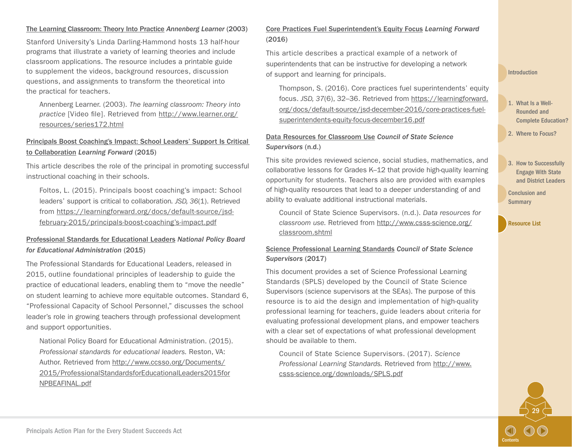#### [The Learning Classroom: Theory Into Practice](http://www.learner.org/resources/series172.html) *Annenberg Learner* (2003)

Stanford University's Linda Darling-Hammond hosts 13 half-hour programs that illustrate a variety of learning theories and include classroom applications. The resource includes a printable guide to supplement the videos, background resources, discussion questions, and assignments to transform the theoretical into the practical for teachers.

Annenberg Learner. (2003). *The learning classroom: Theory into practice* [Video file]. Retrieved from [http://www.learner.org/](http://www.learner.org/resources/series172.html) [resources/series172.html](http://www.learner.org/resources/series172.html)

#### [Principals Boost Coaching's Impact: School Leaders' Support Is Critical](https://learningforward.org/docs/default-source/jsd-february-2015/principals-boost-coaching)  [to Collaboration](https://learningforward.org/docs/default-source/jsd-february-2015/principals-boost-coaching) *Learning Forward* (2015)

This article describes the role of the principal in promoting successful instructional coaching in their schools.

Foltos, L. (2015). Principals boost coaching's impact: School leaders' support is critical to collaboration*. JSD, 36*(1). Retrieved from [https://learningforward.org/docs/default-source/jsd](https://learningforward.org/docs/default-source/jsd-february-2015/principals-boost-coaching)[february-2015/principals-boost-coaching's-impact.pdf](https://learningforward.org/docs/default-source/jsd-february-2015/principals-boost-coaching)

#### [Professional Standards for Educational Leaders](http://www.ccsso.org/Documents/2015/ProfessionalStandardsforEducationalLeaders2015forNPBEAFINAL.pdf) *National Policy Board for Educational Administration* (2015)

The Professional Standards for Educational Leaders, released in 2015, outline foundational principles of leadership to guide the practice of educational leaders, enabling them to "move the needle" on student learning to achieve more equitable outcomes. Standard 6, "Professional Capacity of School Personnel," discusses the school leader's role in growing teachers through professional development and support opportunities.

National Policy Board for Educational Administration. (2015). *Professional standards for educational leaders.* Reston, VA: Author. Retrieved from [http://www.ccsso.org/Documents/](http://www.ccsso.org/Documents/2015/ProfessionalStandardsforEducationalLeaders2015forNPBEAFINAL.pdf) [2015/ProfessionalStandardsforEducationalLeaders2015for](http://www.ccsso.org/Documents/2015/ProfessionalStandardsforEducationalLeaders2015forNPBEAFINAL.pdf) [NPBEAFINAL.pdf](http://www.ccsso.org/Documents/2015/ProfessionalStandardsforEducationalLeaders2015forNPBEAFINAL.pdf)

#### [Core Practices Fuel Superintendent's Equity Focus](https://learningforward.org/docs/default-source/jsd-december-2016/core-practices-fuel-superintendents-equity-focus-december16.pdf) *Learning Forward* (2016)

This article describes a practical example of a network of superintendents that can be instructive for developing a network of support and learning for principals.

Thompson, S. (2016). Core practices fuel superintendents' equity focus. *JSD, 37*(6), 32–36. Retrieved from [https://learningforward.](https://learningforward.org/docs/default-source/jsd-december-2016/core-practices-fuel-superintendents-equity-focus-december16.pdf) [org/docs/default-source/jsd-december-2016/core-practices-fuel](https://learningforward.org/docs/default-source/jsd-december-2016/core-practices-fuel-superintendents-equity-focus-december16.pdf)[superintendents-equity-focus-december16.pdf](https://learningforward.org/docs/default-source/jsd-december-2016/core-practices-fuel-superintendents-equity-focus-december16.pdf)

[Data Resources for Classroom Use](http://www.csss-science.org/classroom.shtml) *Council of State Science Supervisors* (n.d.)

This site provides reviewed science, social studies, mathematics, and collaborative lessons for Grades K–12 that provide high-quality learning opportunity for students. Teachers also are provided with examples of high-quality resources that lead to a deeper understanding of and ability to evaluate additional instructional materials.

Council of State Science Supervisors. (n.d.). *Data resources for classroom use.* Retrieved from [http://www.csss-science.org/](http://www.csss-science.org/classroom.shtml) [classroom.shtml](http://www.csss-science.org/classroom.shtml)

#### [Science Professional Learning Standards](http://www.csss-science.org/SPLS.shtml) *Council of State Science Supervisors* (2017)

This document provides a set of Science Professional Learning Standards (SPLS) developed by the Council of State Science Supervisors (science supervisors at the SEAs). The purpose of this resource is to aid the design and implementation of high-quality professional learning for teachers, guide leaders about criteria for evaluating professional development plans, and empower teachers with a clear set of expectations of what professional development should be available to them.

Council of State Science Supervisors. (2017). *Science Professional Learning Standards.* Retrieved from [http://www.](http://www.csss-science.org/downloads/SPLS.pdf) [csss-science.org/downloads/SPLS.pdf](http://www.csss-science.org/downloads/SPLS.pdf)

#### [Introduction](#page-3-0)

1. What Is a Well-Rounded and [Complete Education?](#page-6-0)

2. [Where to Focus?](#page-8-0)

3. How to Successfully Engage With State [and District Leaders](#page-19-0) 

29

**[Contents](#page-2-0)** 

[Conclusion and](#page-22-0)  **Summary**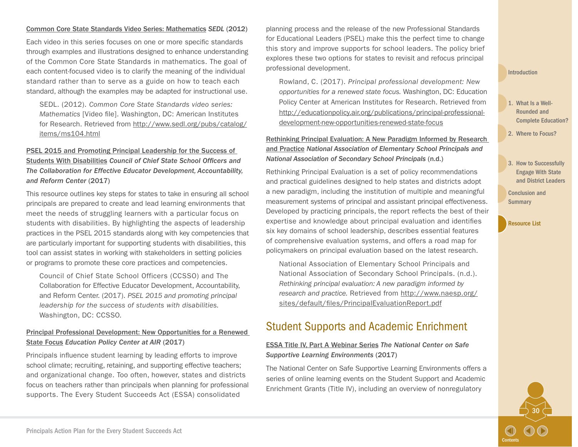#### [Common Core State Standards Video Series: Mathematics](http://www.sedl.org/pubs/catalog/items/ms104.html) *SEDL* (2012)

Each video in this series focuses on one or more specific standards through examples and illustrations designed to enhance understanding of the Common Core State Standards in mathematics. The goal of each content-focused video is to clarify the meaning of the individual standard rather than to serve as a guide on how to teach each standard, although the examples may be adapted for instructional use.

SEDL. (2012). *Common Core State Standards video series: Mathematics* [Video file]. Washington, DC: American Institutes for Research. Retrieved from [http://www.sedl.org/pubs/catalog/](http://www.sedl.org/pubs/catalog/items/ms104.html) [items/ms104.html](http://www.sedl.org/pubs/catalog/items/ms104.html)

#### [PSEL 2015 and Promoting Principal Leadership for the Success of](http://www.ccsso.org/Documents/2017/PSELforSWDs01252017.pdf)  [Students With Disabilities](http://www.ccsso.org/Documents/2017/PSELforSWDs01252017.pdf) *Council of Chief State School Officers and The Collaboration for Effective Educator Development, Accountability, and Reform Center* (2017)

This resource outlines key steps for states to take in ensuring all school principals are prepared to create and lead learning environments that meet the needs of struggling learners with a particular focus on students with disabilities. By highlighting the aspects of leadership practices in the PSEL 2015 standards along with key competencies that are particularly important for supporting students with disabilities, this tool can assist states in working with stakeholders in setting policies or programs to promote these core practices and competencies.

Council of Chief State School Officers (CCSSO) and The Collaboration for Effective Educator Development, Accountability, and Reform Center. (2017). *PSEL 2015 and promoting principal leadership for the success of students with disabilities.* Washington, DC: CCSSO.

#### [Principal Professional Development: New Opportunities for a Renewed](http://educationpolicy.air.org/publications/principal-professional-development-new-opportunities-renewed-state-focus)  [State Focus](http://educationpolicy.air.org/publications/principal-professional-development-new-opportunities-renewed-state-focus) *Education Policy Center at AIR* (2017)

Principals influence student learning by leading efforts to improve school climate; recruiting, retaining, and supporting effective teachers; and organizational change. Too often, however, states and districts focus on teachers rather than principals when planning for professional supports. The Every Student Succeeds Act (ESSA) consolidated

planning process and the release of the new Professional Standards for Educational Leaders (PSEL) make this the perfect time to change this story and improve supports for school leaders. The policy brief explores these two options for states to revisit and refocus principal professional development.

Rowland, C. (2017). *Principal professional development: New opportunities for a renewed state focus.* Washington, DC: Education Policy Center at American Institutes for Research. Retrieved from [http://educationpolicy.air.org/publications/principal-professional](http://educationpolicy.air.org/publications/principal-professional-development-new-opportunities-renewed-state-focus)[development-new-opportunities-renewed-state-focus](http://educationpolicy.air.org/publications/principal-professional-development-new-opportunities-renewed-state-focus)

#### [Rethinking Principal Evaluation: A New Paradigm Informed by Research](http://www.naesp.org/sites/default/files/PrincipalEvaluationReport.pdf)  [and Practice](http://www.naesp.org/sites/default/files/PrincipalEvaluationReport.pdf) *National Association of Elementary School Principals and National Association of Secondary School Principals* (n.d.)

Rethinking Principal Evaluation is a set of policy recommendations and practical guidelines designed to help states and districts adopt a new paradigm, including the institution of multiple and meaningful measurement systems of principal and assistant principal effectiveness. Developed by practicing principals, the report reflects the best of their expertise and knowledge about principal evaluation and identifies six key domains of school leadership, describes essential features of comprehensive evaluation systems, and offers a road map for policymakers on principal evaluation based on the latest research.

National Association of Elementary School Principals and National Association of Secondary School Principals. (n.d.). *Rethinking principal evaluation: A new paradigm informed by research and practice.* Retrieved from [http://www.naesp.org/](http://www.naesp.org/sites/default/files/PrincipalEvaluationReport.pdf) [sites/default/files/PrincipalEvaluationReport.pdf](http://www.naesp.org/sites/default/files/PrincipalEvaluationReport.pdf)

### Student Supports and Academic Enrichment

#### [ESSA Title IV, Part A Webinar Series](https://safesupportivelearning.ed.gov/resources/essa-title-iv-part-A-SSAE-non-regulatory-guidance-webinar-series) *The National Center on Safe Supportive Learning Environments* (2017)

The National Center on Safe Supportive Learning Environments offers a series of online learning events on the Student Support and Academic Enrichment Grants (Title IV), including an overview of nonregulatory

#### [Introduction](#page-3-0)

- 1. What Is a Well-Rounded and [Complete Education?](#page-6-0)
- 2. [Where to Focus?](#page-8-0)
- 3. How to Successfully Engage With State [and District Leaders](#page-19-0)

30

**[Contents](#page-2-0)** 

[Conclusion and](#page-22-0)  **Summary**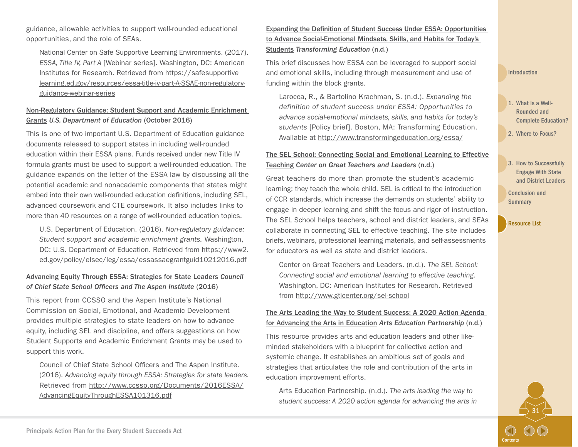guidance, allowable activities to support well-rounded educational opportunities, and the role of SEAs.

National Center on Safe Supportive Learning Environments. (2017). *ESSA, Title IV, Part A* [Webinar series]. Washington, DC: American Institutes for Research. Retrieved from [https://safesupportive](https://safesupportivelearning.ed.gov/resources/essa-title-iv-part-A-SSAE-non-regulatory-guidance-webinar-series) [learning.ed.gov/resources/essa-title-iv-part-A-SSAE-non-regulatory](https://safesupportivelearning.ed.gov/resources/essa-title-iv-part-A-SSAE-non-regulatory-guidance-webinar-series)[guidance-webinar-series](https://safesupportivelearning.ed.gov/resources/essa-title-iv-part-A-SSAE-non-regulatory-guidance-webinar-series)

#### [Non-Regulatory Guidance: Student Support and Academic Enrichment](https://www2.ed.gov/policy/elsec/leg/essa/essassaegrantguid10212016.pdf)  [Grants](https://www2.ed.gov/policy/elsec/leg/essa/essassaegrantguid10212016.pdf) *U.S. Department of Education* (October 2016)

This is one of two important U.S. Department of Education guidance documents released to support states in including well-rounded education within their ESSA plans. Funds received under new Title IV formula grants must be used to support a well-rounded education. The guidance expands on the letter of the ESSA law by discussing all the potential academic and nonacademic components that states might embed into their own well-rounded education definitions, including SEL, advanced coursework and CTE coursework. It also includes links to more than 40 resources on a range of well-rounded education topics.

U.S. Department of Education. (2016). *Non-regulatory guidance: Student support and academic enrichment grants.* Washington, DC: U.S. Department of Education. Retrieved from [https://www2.](https://www2.ed.gov/policy/elsec/leg/essa/essassaegrantguid10212016.pdf) [ed.gov/policy/elsec/leg/essa/essassaegrantguid10212016.pdf](https://www2.ed.gov/policy/elsec/leg/essa/essassaegrantguid10212016.pdf)

#### [Advancing Equity Through ESSA: Strategies for State Leaders](http://www.ccsso.org/Documents/2016/ESSA/AdvancingEquityThroughESSA101316.pdf) *Council of Chief State School Officers and The Aspen Institute* (2016)

This report from CCSSO and the Aspen Institute's National Commission on Social, Emotional, and Academic Development provides multiple strategies to state leaders on how to advance equity, including SEL and discipline, and offers suggestions on how Student Supports and Academic Enrichment Grants may be used to support this work.

Council of Chief State School Officers and The Aspen Institute. (2016). *Advancing equity through ESSA: Strategies for state leaders.* Retrieved from [http://www.ccsso.org/Documents/2016ESSA/](http://www.ccsso.org/Documents/2016/ESSA/AdvancingEquityThroughESSA101316.pdf) [AdvancingEquityThroughESSA101316.pdf](http://www.ccsso.org/Documents/2016/ESSA/AdvancingEquityThroughESSA101316.pdf)

[Expanding the Definition of Student Success Under ESSA: Opportunities](http://www.transformingeducation.org/essa/)  [to Advance Social-Emotional Mindsets, Skills, and Habits for Today's](http://www.transformingeducation.org/essa/)  [Students](http://www.transformingeducation.org/essa/) *Transforming Education* (n.d.)

This brief discusses how ESSA can be leveraged to support social and emotional skills, including through measurement and use of funding within the block grants.

Larocca, R., & Bartolino Krachman, S. (n.d.). *Expanding the definition of student success under ESSA: Opportunities to advance social-emotional mindsets, skills, and habits for today's students* [Policy brief]. Boston, MA: Transforming Education. Available at <http://www.transformingeducation.org/essa/>

#### [The SEL School: Connecting Social and Emotional Learning to Effective](http://www.gtlcenter.org/sel-school)  [Teaching](http://www.gtlcenter.org/sel-school) *Center on Great Teachers and Leaders* (n.d.)

Great teachers do more than promote the student's academic learning; they teach the whole child. SEL is critical to the introduction of CCR standards, which increase the demands on students' ability to engage in deeper learning and shift the focus and rigor of instruction. The SEL School helps teachers, school and district leaders, and SEAs collaborate in connecting SEL to effective teaching. The site includes briefs, webinars, professional learning materials, and self-assessments for educators as well as state and district leaders.

Center on Great Teachers and Leaders. (n.d.). *The SEL School: Connecting social and emotional learning to effective teaching.*  Washington, DC: American Institutes for Research. Retrieved from<http://www.gtlcenter.org/sel-school>

#### [The Arts Leading the Way to Student Success: A 2020 Action Agenda](http://www.aep-arts.org/wp-content/uploads/AEP-Action-Agenda-Web-version.pdf)  [for Advancing the Arts in Education](http://www.aep-arts.org/wp-content/uploads/AEP-Action-Agenda-Web-version.pdf) *Arts Education Partnership* (n.d.)

This resource provides arts and education leaders and other likeminded stakeholders with a blueprint for collective action and systemic change. It establishes an ambitious set of goals and strategies that articulates the role and contribution of the arts in education improvement efforts.

Arts Education Partnership. (n.d.). *The arts leading the way to student success: A 2020 action agenda for advancing the arts in*  [Introduction](#page-3-0)

- 1. What Is a Well-Rounded and [Complete Education?](#page-6-0)
- 2. [Where to Focus?](#page-8-0)
- 3. How to Successfully Engage With State [and District Leaders](#page-19-0)

31

**[Contents](#page-2-0)** 

[Conclusion and](#page-22-0)  **Summary**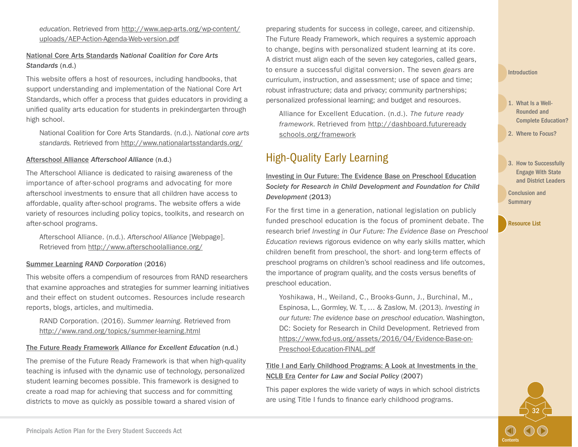*education.* Retrieved from [http://www.aep-arts.org/wp-content/](http://www.aep-arts.org/wp-content/uploads/AEP-Action-Agenda-Web-version.pdf) [uploads/AEP-Action-Agenda-Web-version.pdf](http://www.aep-arts.org/wp-content/uploads/AEP-Action-Agenda-Web-version.pdf)

[National Core Arts Standards](http://nationalartsstandards.org/) N*ational Coalition for Core Arts Standards* (n.d.)

This website offers a host of resources, including handbooks, that support understanding and implementation of the National Core Art Standards, which offer a process that guides educators in providing a unified quality arts education for students in prekindergarten through high school.

National Coalition for Core Arts Standards. (n.d.). *National core arts standards.* Retrieved from <http://www.nationalartsstandards.org/>

#### [Afterschool Alliance](http://www.afterschoolalliance.org/) *Afterschool Alliance* (n.d.)

The Afterschool Alliance is dedicated to raising awareness of the importance of after-school programs and advocating for more afterschool investments to ensure that all children have access to affordable, quality after-school programs. The website offers a wide variety of resources including policy topics, toolkits, and research on after-school programs.

Afterschool Alliance. (n.d.). *Afterschool Alliance* [Webpage]. Retrieved from <http://www.afterschoolalliance.org/>

#### [Summer Learning](http://www.rand.org/topics/summer-learning.html) *RAND Corporation* (2016)

This website offers a compendium of resources from RAND researchers that examine approaches and strategies for summer learning initiatives and their effect on student outcomes. Resources include research reports, blogs, articles, and multimedia.

RAND Corporation. (2016). *Summer learning.* Retrieved from <http://www.rand.org/topics/summer-learning.html>

#### [The Future Ready Framework](http://dashboard.futurereadyschools.org/framework) *Alliance for Excellent Education* (n.d.)

The premise of the Future Ready Framework is that when high-quality teaching is infused with the dynamic use of technology, personalized student learning becomes possible. This framework is designed to create a road map for achieving that success and for committing districts to move as quickly as possible toward a shared vision of

preparing students for success in college, career, and citizenship. The Future Ready Framework, which requires a systemic approach to change, begins with personalized student learning at its core. A district must align each of the seven key categories, called gears, to ensure a successful digital conversion. The seven *gears* are curriculum, instruction, and assessment; use of space and time; robust infrastructure; data and privacy; community partnerships; personalized professional learning; and budget and resources.

Alliance for Excellent Education. (n.d.). *The future ready framework.* Retrieved from [http://dashboard.futureready](http://dashboard.futurereadyschools.org/framework) [schools.org/framework](http://dashboard.futurereadyschools.org/framework)

### High-Quality Early Learning

#### [Investing in Our Future: The Evidence Base on Preschool Education](https://www.fcd-us.org/the-evidence-base-on-preschool/) *Society for Research in Child Development and Foundation for Child Development* (2013)

For the first time in a generation, national legislation on publicly funded preschool education is the focus of prominent debate. The research brief *Investing in Our Future: The Evidence Base on Preschool Education* reviews rigorous evidence on why early skills matter, which children benefit from preschool, the short- and long-term effects of preschool programs on children's school readiness and life outcomes, the importance of program quality, and the costs versus benefits of preschool education.

Yoshikawa, H., Weiland, C., Brooks-Gunn, J., Burchinal, M., Espinosa, L., Gormley, W. T., … & Zaslow, M. (2013). *Investing in our future: The evidence base on preschool education.* Washington, DC: Society for Research in Child Development. Retrieved from [https://www.fcd-us.org/assets/2016/04/Evidence-Base-on-](https://www.fcd-us.org/assets/2016/04/Evidence-Base-on-Preschool-Education-FINAL.pdf)[Preschool-Education-FINAL.pdf](https://www.fcd-us.org/assets/2016/04/Evidence-Base-on-Preschool-Education-FINAL.pdf)

#### [Title I and Early Childhood Programs: A Look at Investments in the](https://www.fcd-us.org/title-i-and-early-childhood-programs-a-look-at-investments-in-the-NCLB-Era/)  [NCLB Era](https://www.fcd-us.org/title-i-and-early-childhood-programs-a-look-at-investments-in-the-NCLB-Era/) *Center for Law and Social Policy* (2007)

This paper explores the wide variety of ways in which school districts are using Title I funds to finance early childhood programs.

- 1. What Is a Well-Rounded and [Complete Education?](#page-6-0)
- 2. [Where to Focus?](#page-8-0)
- 3. How to Successfully Engage With State [and District Leaders](#page-19-0)

32

**[Contents](#page-2-0)** 

[Conclusion and](#page-22-0)  **Summary**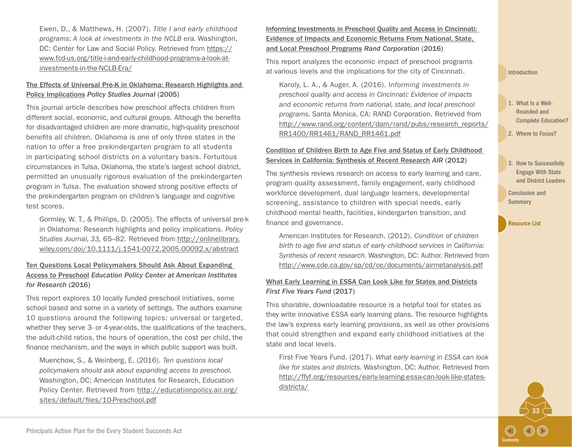Ewen, D., & Matthews, H. (2007). *Title I and early childhood programs: A look at investments in the NCLB era.* Washington, DC: Center for Law and Social Policy. Retrieved from [https://](https://www.fcd-us.org/title-i-and-early-childhood-programs-a-look-at-investments-in-the-NCLB-Era/) [www.fcd-us.org/title-i-and-early-childhood-programs-a-look-at](https://www.fcd-us.org/title-i-and-early-childhood-programs-a-look-at-investments-in-the-NCLB-Era/)[investments-in-the-NCLB-Era/](https://www.fcd-us.org/title-i-and-early-childhood-programs-a-look-at-investments-in-the-NCLB-Era/)

#### [The Effects of Universal Pre-K in Oklahoma: Research Highlights and](http://onlinelibrary.wiley.com/doi/10.1111/j.1541-0072.2005.00092.x/abstract)  [Policy Implications](http://onlinelibrary.wiley.com/doi/10.1111/j.1541-0072.2005.00092.x/abstract) *Policy Studies Journal* (2005)

This journal article describes how preschool affects children from different social, economic, and cultural groups. Although the benefits for disadvantaged children are more dramatic, high-quality preschool benefits all children. Oklahoma is one of only three states in the nation to offer a free prekindergarten program to all students in participating school districts on a voluntary basis. Fortuitous circumstances in Tulsa, Oklahoma, the state's largest school district, permitted an unusually rigorous evaluation of the prekindergarten program in Tulsa. The evaluation showed strong positive effects of the prekindergarten program on children's language and cognitive test scores.

Gormley, W. T., & Phillips, D. (2005). The effects of universal pre-k in Oklahoma: Research highlights and policy implications. *Policy Studies Journal, 33,* 65–82. Retrieved from [http://onlinelibrary.](http://onlinelibrary.wiley.com/doi/10.1111/j.1541-0072.2005.00092.x/abstract) [wiley.com/doi/10.1111/j.1541-0072.2005.00092.x/abstract](http://onlinelibrary.wiley.com/doi/10.1111/j.1541-0072.2005.00092.x/abstract)

#### [Ten Questions Local Policymakers Should Ask About Expanding](http://educationpolicy.air.org/publications/ten-questions-local-policymakers-should-ask-about-expanding-access-preschool)  [Access to Preschool](http://educationpolicy.air.org/publications/ten-questions-local-policymakers-should-ask-about-expanding-access-preschool) *Education Policy Center at American Institutes for Research* (2016)

This report explores 10 locally funded preschool initiatives, some school based and some in a variety of settings. The authors examine 10 questions around the following topics: universal or targeted, whether they serve 3- or 4-year-olds, the qualifications of the teachers, the adult-child ratios, the hours of operation, the cost per child, the finance mechanism, and the ways in which public support was built.

Muenchow, S., & Weinberg, E. (2016). *Ten questions local policymakers should ask about expanding access to preschool.*  Washington, DC: American Institutes for Research, Education Policy Center. Retrieved from [http://educationpolicy.air.org/](http://educationpolicy.air.org/sites/default/files/10-Preschool.pdf) [sites/default/files/10-Preschool.pdf](http://educationpolicy.air.org/sites/default/files/10-Preschool.pdf)

[Informing Investments in Preschool Quality and Access in Cincinnati:](http://www.rand.org/pubs/research_reports/RR1461.html)  [Evidence of Impacts and Economic Returns From National, State,](http://www.rand.org/pubs/research_reports/RR1461.html)  [and Local Preschool Programs](http://www.rand.org/pubs/research_reports/RR1461.html) *Rand Corporation* (2016)

This report analyzes the economic impact of preschool programs at various levels and the implications for the city of Cincinnati.

Karoly, L. A., & Auger, A. (2016). I*nforming investments in preschool quality and access in Cincinnati: Evidence of impacts and economic returns from national, state, and local preschool programs.* Santa Monica, CA: RAND Corporation. Retrieved from [http://www.rand.org/content/dam/rand/pubs/research\\_reports/](http://www.rand.org/content/dam/rand/pubs/research_reports/RR1400/RR1461/RAND_RR1461.pdf) [RR1400/RR1461/RAND\\_RR1461.pdf](http://www.rand.org/content/dam/rand/pubs/research_reports/RR1400/RR1461/RAND_RR1461.pdf)

#### [Condition of Children Birth to Age Five and Status of Early Childhood](http://www.cde.ca.gov/sp/cd/ce/documents/airmetanalysis.pdf)  [Services in California: Synthesis of Recent Research](http://www.cde.ca.gov/sp/cd/ce/documents/airmetanalysis.pdf) *AIR* (2012)

The synthesis reviews research on access to early learning and care, program quality assessment, family engagement, early childhood workforce development, dual language learners, developmental screening, assistance to children with special needs, early childhood mental health, facilities, kindergarten transition, and finance and governance.

American Institutes for Research. (2012). *Condition of children birth to age five and status of early childhood services in California: Synthesis of recent research.* Washington, DC: Author. Retrieved from <http://www.cde.ca.gov/sp/cd/ce/documents/airmetanalysis.pdf>

#### [What Early Learning in ESSA Can Look Like for States and Districts](http://ffyf.org/resources/early-learning-essa-can-look-like-states-districts/) *First Five Years Fund* (2017)

This sharable, downloadable resource is a helpful tool for states as they write innovative ESSA early learning plans. The resource highlights the law's express early learning provisions, as well as other provisions that could strengthen and expand early childhood initiatives at the state and local levels.

First Five Years Fund. (2017). *What early learning in ESSA can look like for states and districts.* Washington, DC: Author. Retrieved from [http://ffyf.org/resources/early-learning-essa-can-look-like-states](http://ffyf.org/resources/early-learning-essa-can-look-like-states-districts/)[districts/](http://ffyf.org/resources/early-learning-essa-can-look-like-states-districts/)

#### [Introduction](#page-3-0)

- 1. What Is a Well-Rounded and [Complete Education?](#page-6-0)
- 2. [Where to Focus?](#page-8-0)
- 3. How to Successfully Engage With State [and District Leaders](#page-19-0)

33

**[Contents](#page-2-0)** 

[Conclusion and](#page-22-0)  **Summary**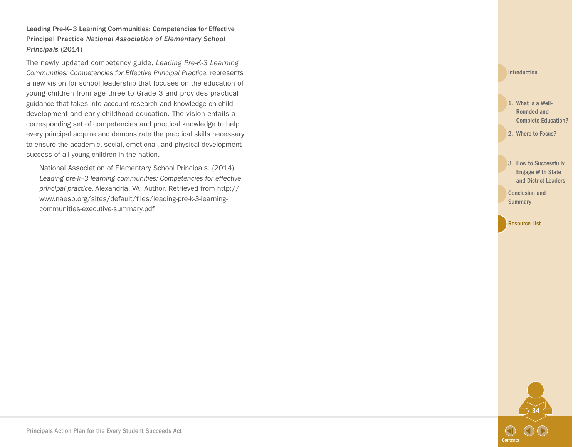Leading Pre-K-3 Learning Communities: Competencies for Effective [Principal Practice](http://www.naesp.org/sites/default/files/leading-pre-k-3-learning-communities-executive-summary.pdf) *National Association of Elementary School Principals* (2014)

The newly updated competency guide, *Leading Pre-K-3 Learning Communities: Competencies for Effective Principal Practice,* represents a new vision for school leadership that focuses on the education of young children from age three to Grade 3 and provides practical guidance that takes into account research and knowledge on child development and early childhood education. The vision entails a corresponding set of competencies and practical knowledge to help every principal acquire and demonstrate the practical skills necessary to ensure the academic, social, emotional, and physical development success of all young children in the nation.

National Association of Elementary School Principals. (2014). *Leading pre-k–3 learning communities: Competencies for effective principal practice.* Alexandria, VA: Author. Retrieved from [http://](http://www.naesp.org/sites/default/files/leading-pre-k-3-learning-communities-executive-summary.pdf) [www.naesp.org/sites/default/files/leading-pre-k-3-learning](http://www.naesp.org/sites/default/files/leading-pre-k-3-learning-communities-executive-summary.pdf)[communities-executive-summary.pdf](http://www.naesp.org/sites/default/files/leading-pre-k-3-learning-communities-executive-summary.pdf)

**[Introduction](#page-3-0)** 

1. What Is a Well-Rounded and [Complete Education?](#page-6-0)

2. [Where to Focus?](#page-8-0)

3. How to Successfully Engage With State [and District Leaders](#page-19-0) 

[Conclusion and](#page-22-0)  **Summary**